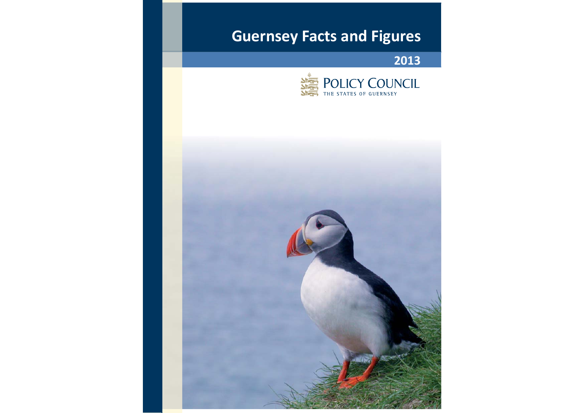# **Guernsey Facts and Figures**

**2013**



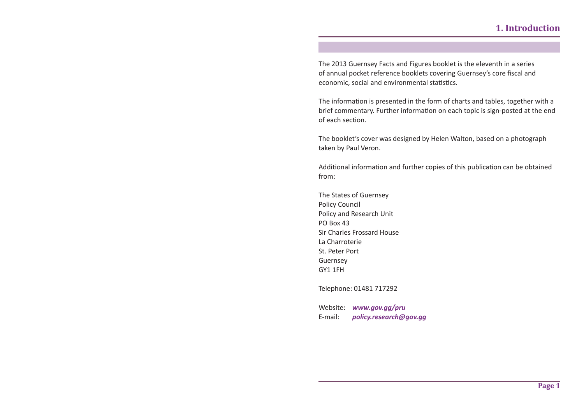The 2013 Guernsey Facts and Figures booklet is the eleventh in a series of annual pocket reference booklets covering Guernsey's core fiscal and economic, social and environmental statistics.

The informa Ɵ on is presented in the form of charts and tables, together with a brief commentary. Further informa Ɵ on on each topic is sign-posted at the end of each section.

The booklet's cover was designed by Helen Walton, based on a photograph taken by Paul Veron.

Additional information and further copies of this publication can be obtained from:

The States of Guernsey Policy Council Policy and Research Unit PO Box 43Sir Charles Frossard HouseLa Charroterie St. Peter Port Guernsey GY1 1FH

Telephone: 01481 717292

Website: *www.gov.gg/pru* E-mail: *policy.research@gov.gg*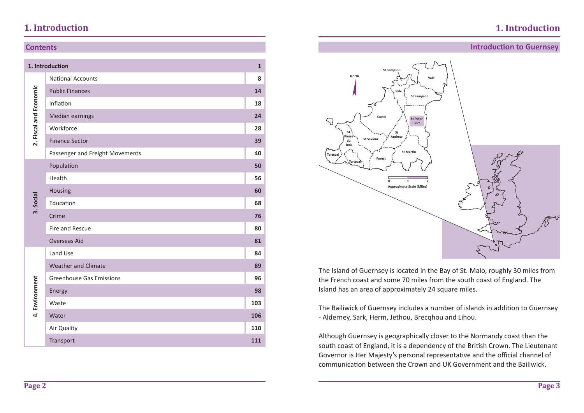## **1. Introduction**

### **Contents**

|                        | 1. Introduction                 | $\mathbf{1}$ |
|------------------------|---------------------------------|--------------|
|                        | <b>National Accounts</b>        | 8            |
| 2. Fiscal and Economic | <b>Public Finances</b>          | 14           |
|                        | Inflation                       | 18           |
|                        | <b>Median earnings</b>          | 24           |
|                        | Workforce                       | 28           |
|                        | <b>Finance Sector</b>           | 39           |
|                        | Passenger and Freight Movements | 40           |
|                        | Population                      | 50           |
|                        | Health                          | 56           |
|                        | Housing                         | 60           |
| 3. Social              | Education                       | 68           |
|                        | Crime                           | 76           |
|                        | Fire and Rescue                 | 80           |
|                        | <b>Overseas Aid</b>             | 81           |
|                        | Land Use                        | 84           |
|                        | <b>Weather and Climate</b>      | 89           |
|                        | <b>Greenhouse Gas Emissions</b> | 96           |
| 4. Environment         | Energy                          | 98           |
|                        | Waste                           | 103          |
|                        | Water                           | 106          |
|                        | Air Quality                     | 110          |
|                        | Transport                       | 111          |

### **Introduction to Guernsey**



The Island of Guernsey is located in the Bay of St. Malo, roughly 30 miles from the French coast and some 70 miles from the south coast of England. The Island has an area of approximately 24 square miles.

The Bailiwick of Guernsey includes a number of islands in addition to Guernsey - Alderney, Sark, Herm, Jethou, Brecqhou and Lihou.

Although Guernsey is geographically closer to the Normandy coast than the south coast of England, it is a dependency of the British Crown. The Lieutenant Governor is Her Majesty's personal representative and the official channel of communication between the Crown and UK Government and the Bailiwick.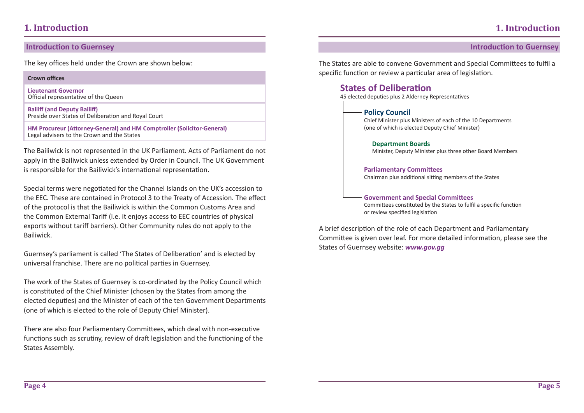### **IntroducƟ on to Guernsey IntroducƟ on to Guernsey**

The key offices held under the Crown are shown below:

#### **Crown offi ces**

**Lieutenant Governor** Official representative of the Queen

**Bailiff (and Deputy Bailiff )** Preside over States of Deliberation and Royal Court

**HM Procureur (AƩ orney-General) and HM Comptroller (Solicitor-General)** Legal advisers to the Crown and the States

The Bailiwick is not represented in the UK Parliament. Acts of Parliament do not apply in the Bailiwick unless extended by Order in Council. The UK Government is responsible for the Bailiwick's international representation.

Special terms were negotiated for the Channel Islands on the UK's accession to the EEC. These are contained in Protocol 3 to the Treaty of Accession. The effect of the protocol is that the Bailiwick is within the Common Customs Area and the Common External Tariff (i.e. it enjoys access to EEC countries of physical exports without tariff barriers). Other Community rules do not apply to the Bailiwick.

Guernsey's parliament is called 'The States of Deliberation' and is elected by universal franchise. There are no political parties in Guernsey.

The work of the States of Guernsey is co-ordinated by the Policy Council which is constituted of the Chief Minister (chosen by the States from among the elected deputies) and the Minister of each of the ten Government Departments (one of which is elected to the role of Deputy Chief Minister).

There are also four Parliamentary Committees, which deal with non-executive functions such as scrutiny, review of draft legislation and the functioning of the States Assembly.

The States are able to convene Government and Special Committees to fulfil a specific function or review a particular area of legislation.

### **States of Deliberation**



A brief description of the role of each Department and Parliamentary Committee is given over leaf. For more detailed information, please see the States of Guernsey website: *www.gov.gg*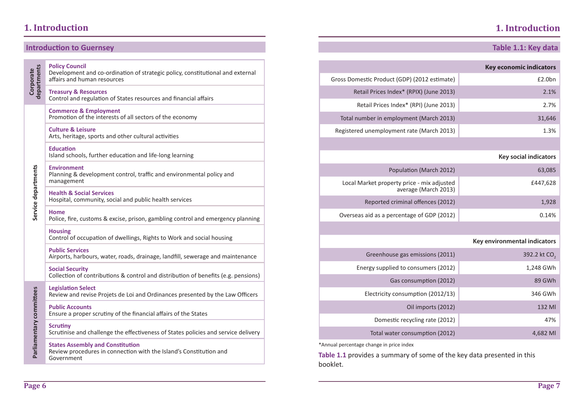## **1. Introduction**

### **Table 1.1: Key data**

|                          | <b>Introduction to Guernsey</b>                                                                                             |                                                                                                                                | Table 1.1: Key data            |
|--------------------------|-----------------------------------------------------------------------------------------------------------------------------|--------------------------------------------------------------------------------------------------------------------------------|--------------------------------|
|                          | <b>Policy Council</b><br>Development and co-ordination of strategic policy, constitutional and external                     |                                                                                                                                | <b>Key economic indicators</b> |
| Corporate                | affairs and human resources                                                                                                 | Gross Domestic Product (GDP) (2012 estimate)                                                                                   | £2.0bn                         |
| departments              | <b>Treasury &amp; Resources</b><br>Control and regulation of States resources and financial affairs                         | Retail Prices Index* (RPIX) (June 2013)                                                                                        | 2.1%                           |
|                          | <b>Commerce &amp; Employment</b><br>Promotion of the interests of all sectors of the economy                                | Retail Prices Index* (RPI) (June 2013)<br>Total number in employment (March 2013)                                              | 2.7%<br>31,646                 |
|                          |                                                                                                                             |                                                                                                                                |                                |
|                          | <b>Culture &amp; Leisure</b><br>Arts, heritage, sports and other cultural activities                                        | Registered unemployment rate (March 2013)                                                                                      | 1.3%                           |
|                          | <b>Education</b><br>Island schools, further education and life-long learning                                                |                                                                                                                                | <b>Key social indicators</b>   |
|                          | <b>Environment</b><br>Planning & development control, traffic and environmental policy and                                  | Population (March 2012)                                                                                                        | 63,085                         |
|                          | management                                                                                                                  | Local Market property price - mix adjusted<br>average (March 2013)                                                             | £447,628                       |
| Service departments      | <b>Health &amp; Social Services</b><br>Hospital, community, social and public health services                               | Reported criminal offences (2012)                                                                                              | 1,928                          |
|                          | Home<br>Police, fire, customs & excise, prison, gambling control and emergency planning                                     | Overseas aid as a percentage of GDP (2012)                                                                                     | 0.14%                          |
|                          | Housing<br>Control of occupation of dwellings, Rights to Work and social housing                                            |                                                                                                                                | Key environmental indicators   |
|                          | <b>Public Services</b><br>Airports, harbours, water, roads, drainage, landfill, sewerage and maintenance                    | Greenhouse gas emissions (2011)                                                                                                | 392.2 kt CO <sub>2</sub>       |
|                          | <b>Social Security</b>                                                                                                      | Energy supplied to consumers (2012)                                                                                            | 1,248 GWh                      |
|                          | Collection of contributions & control and distribution of benefits (e.g. pensions)                                          | Gas consumption (2012)                                                                                                         | 89 GWh                         |
|                          | <b>Legislation Select</b><br>Review and revise Projets de Loi and Ordinances presented by the Law Officers                  | Electricity consumption (2012/13)                                                                                              | 346 GWh                        |
|                          | <b>Public Accounts</b><br>Ensure a proper scrutiny of the financial affairs of the States                                   | Oil imports (2012)                                                                                                             | 132 MI                         |
|                          | <b>Scrutiny</b>                                                                                                             | Domestic recycling rate (2012)                                                                                                 | 47%                            |
|                          | Scrutinise and challenge the effectiveness of States policies and service delivery                                          | Total water consumption (2012)                                                                                                 | 4,682 MI                       |
| Parliamentary committees | <b>States Assembly and Constitution</b><br>Review procedures in connection with the Island's Constitution and<br>Government | *Annual percentage change in price index<br>Table 1.1 provides a summary of some of the key data presented in this<br>booklet. |                                |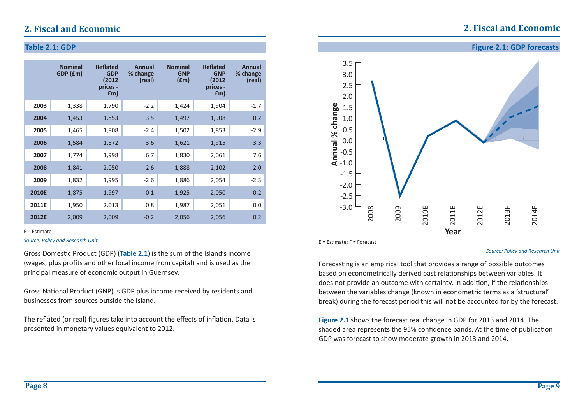## **2. Fiscal and Economic**

### **Table 2.1: GDP**

|              | <b>Nominal</b><br>GDP (£m) | <b>Reflated</b><br><b>GDP</b><br>(2012<br>prices -<br>f(m) | <b>Annual</b><br>% change<br>(real) | <b>Nominal</b><br><b>GNP</b><br>(fm) | <b>Reflated</b><br><b>GNP</b><br>(2012<br>prices -<br>f(m) | Annual<br>% change<br>(real) |
|--------------|----------------------------|------------------------------------------------------------|-------------------------------------|--------------------------------------|------------------------------------------------------------|------------------------------|
| 2003         | 1,338                      | 1,790                                                      | $-2.2$                              | 1,424                                | 1,904                                                      | $-1.7$                       |
| 2004         | 1,453                      | 1,853                                                      | 3.5                                 | 1,497                                | 1,908                                                      | 0.2                          |
| 2005         | 1,465                      | 1,808                                                      | $-2.4$                              | 1,502                                | 1,853                                                      | $-2.9$                       |
| 2006         | 1,584                      | 1,872                                                      | 3.6                                 | 1,621                                | 1,915                                                      | 3.3                          |
| 2007         | 1,774                      | 1,998                                                      | 6.7                                 | 1,830                                | 2,061                                                      | 7.6                          |
| 2008         | 1,841                      | 2,050                                                      | 2.6                                 | 1,888                                | 2,102                                                      | 2.0                          |
| 2009         | 1,832                      | 1,995                                                      | $-2.6$                              | 1,886                                | 2,054                                                      | $-2.3$                       |
| <b>2010E</b> | 1,875                      | 1,997                                                      | 0.1                                 | 1,925                                | 2,050                                                      | $-0.2$                       |
| 2011E        | 1,950                      | 2,013                                                      | 0.8                                 | 1,987                                | 2,051                                                      | 0.0                          |
| 2012E        | 2,009                      | 2,009                                                      | $-0.2$                              | 2,056                                | 2,056                                                      | 0.2                          |

#### $E =$  Estimate

#### *Source: Policy and Research Unit*

Gross Domestic Product (GDP) (Table 2.1) is the sum of the Island's income (wages, plus profits and other local income from capital) and is used as the principal measure of economic output in Guernsey.

Gross National Product (GNP) is GDP plus income received by residents and businesses from sources outside the Island.

The reflated (or real) figures take into account the effects of inflation. Data is presented in monetary values equivalent to 2012.



 $E =$  Estimate:  $F =$  Forecast

#### *Source: Policy and Research Unit*

Forecasting is an empirical tool that provides a range of possible outcomes based on econometrically derived past relationships between variables. It does not provide an outcome with certainty. In addition, if the relationships between the variables change (known in econometric terms as a 'structural' break) during the forecast period this will not be accounted for by the forecast.

**Figure 2.1** shows the forecast real change in GDP for 2013 and 2014. The shaded area represents the 95% confidence bands. At the time of publication GDP was forecast to show moderate growth in 2013 and 2014.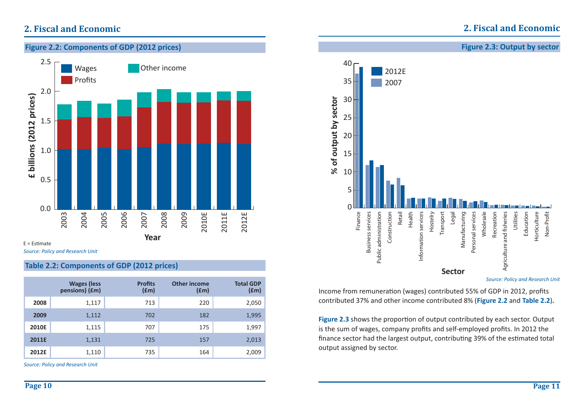### **Figure 2.2: Components of GDP (2012 prices)** 2.5 Other income Wages Profits 2.0 £ billions (2012 prices) **£ billions (2012 prices)** 1.51.0 0.5 0.02011E 2004 2012E 2003 2005 2006 2007 2008 2009 2010E **Year**  $E =$  Estimate

*Source: Policy and Research Unit*

### **Table 2.2: Components of GDP (2012 prices)**

|       | <b>Wages (less</b><br>pensions) (£m) | <b>Profits</b><br>(£m) | <b>Other income</b><br>f(m) | <b>Total GDP</b><br>$(\text{fm})$ |
|-------|--------------------------------------|------------------------|-----------------------------|-----------------------------------|
| 2008  | 1,117                                | 713                    | 220                         | 2,050                             |
| 2009  | 1,112                                | 702                    | 182                         | 1,995                             |
| 2010E | 1,115                                | 707                    | 175                         | 1,997                             |
| 2011E | 1,131                                | 725                    | 157                         | 2,013                             |
| 2012E | 1,110                                | 735                    | 164                         | 2,009                             |

*Source: Policy and Research Unit*



Income from remuneration (wages) contributed 55% of GDP in 2012, profits contributed 37% and other income contributed 8% (**Figure 2.2** and **Table 2.2**)**.**

**Figure 2.3** shows the proportion of output contributed by each sector. Output is the sum of wages, company profits and self-employed profits. In 2012 the finance sector had the largest output, contributing 39% of the estimated total output assigned by sector.

### **Figure 2.3: Output by sector**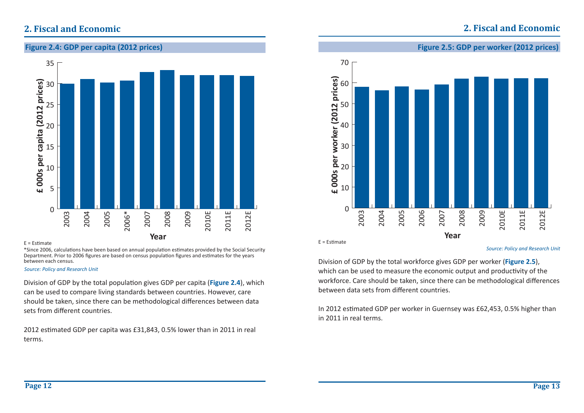

#### $F = F$ stimate

\*Since 2006, calculations have been based on annual population estimates provided by the Social Security Department. Prior to 2006 figures are based on census population figures and estimates for the years between each census.

#### *Source: Policy and Research Unit*

Division of GDP by the total population gives GDP per capita (Figure 2.4), which can be used to compare living standards between countries. However, care should be taken, since there can be methodological differences between data sets from different countries.

2012 estimated GDP per capita was £31,843, 0.5% lower than in 2011 in real terms.

### **2. Fiscal and Economic**

**Figure 2.5: GDP per worker (2012 prices)**



 $E =$  Estimate

Division of GDP by the total workforce gives GDP per worker (**Figure 2.5**), which can be used to measure the economic output and productivity of the workforce. Care should be taken, since there can be methodological differences between data sets from different countries.

In 2012 estimated GDP per worker in Guernsey was £62,453, 0.5% higher than in 2011 in real terms.

*Source: Policy and Research Unit*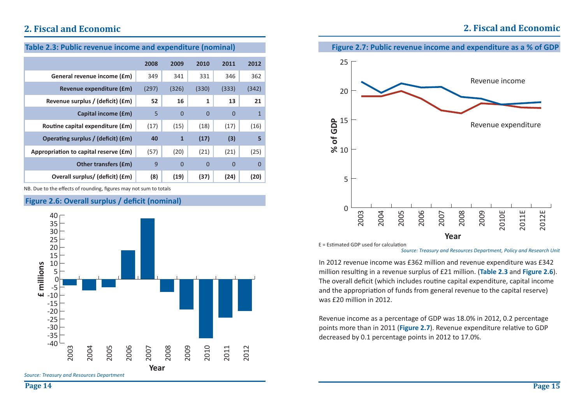| Table 2.3: Public revenue income and expenditure (nominal) |       |              |              |                |                |  |
|------------------------------------------------------------|-------|--------------|--------------|----------------|----------------|--|
|                                                            | 2008  | 2009         | 2010         | 2011           | 2012           |  |
| General revenue income (£m)                                | 349   | 341          | 331          | 346            | 362            |  |
| Revenue expenditure (£m)                                   | (297) | (326)        | (330)        | (333)          | (342)          |  |
| Revenue surplus / (deficit) (£m)                           | 52    | 16           | $\mathbf{1}$ | 13             | 21             |  |
| Capital income (£m)                                        | 5     | $\Omega$     | $\Omega$     | $\Omega$       | $\mathbf{1}$   |  |
| Routine capital expenditure (£m)                           | (17)  | (15)         | (18)         | (17)           | (16)           |  |
| Operating surplus / (deficit) (£m)                         | 40    | $\mathbf{1}$ | (17)         | (3)            | 5              |  |
| Appropriation to capital reserve (£m)                      | (57)  | (20)         | (21)         | (21)           | (25)           |  |
| <b>Other transfers (£m)</b>                                | 9     | $\Omega$     | $\Omega$     | $\overline{0}$ | $\overline{0}$ |  |
| Overall surplus/ (deficit) (£m)                            | (8)   | (19)         | (37)         | (24)           | (20)           |  |

NB. Due to the effects of rounding, figures may not sum to totals

### **Figure 2.6: Overall surplus / deficit (nominal)**





 $E =$  Estimated GDP used for calculation

*Source: Treasury and Resources Department, Policy and Research Unit*

In 2012 revenue income was £362 million and revenue expenditure was £342 million resulƟ ng in a revenue surplus of £21 million. (**Table 2.3** and **Figure 2.6**). The overall deficit (which includes routine capital expenditure, capital income and the appropriation of funds from general revenue to the capital reserve) was £20 million in 2012.

Revenue income as a percentage of GDP was 18.0% in 2012, 0.2 percentage points more than in 2011 (Figure 2.7). Revenue expenditure relative to GDP decreased by 0.1 percentage points in 2012 to 17.0%.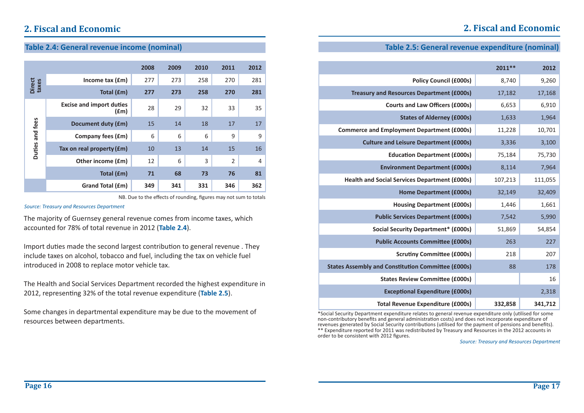## **2. Fiscal and Economic**

### **Table 2.4: General revenue income (nominal)**

|                        |                                         | 2008 | 2009 | 2010 | 2011           | 2012           |
|------------------------|-----------------------------------------|------|------|------|----------------|----------------|
|                        | Income tax $(fm)$                       | 277  | 273  | 258  | 270            | 281            |
| <b>Direct</b><br>taxes | Total (£m)                              | 277  | 273  | 258  | 270            | 281            |
| Duties and fees        | <b>Excise and import duties</b><br>f(m) | 28   | 29   | 32   | 33             | 35             |
|                        | Document duty (£m)                      | 15   | 14   | 18   | 17             | 17             |
|                        | Company fees (£m)                       | 6    | 6    | 6    | 9              | 9              |
|                        | Tax on real property (£m)               | 10   | 13   | 14   | 15             | 16             |
|                        | Other income (£m)                       | 12   | 6    | 3    | $\overline{2}$ | $\overline{4}$ |
|                        | Total (£m)                              | 71   | 68   | 73   | 76             | 81             |
|                        | Grand Total (£m)                        | 349  | 341  | 331  | 346            | 362            |

NB. Due to the effects of rounding, figures may not sum to totals

*Source: Treasury and Resources Department*

The majority of Guernsey general revenue comes from income taxes, which accounted for 78% of total revenue in 2012 (**Table 2.4**).

Import duties made the second largest contribution to general revenue . They include taxes on alcohol, tobacco and fuel, including the tax on vehicle fuel introduced in 2008 to replace motor vehicle tax.

The Health and Social Services Department recorded the highest expenditure in 2012, representing 32% of the total revenue expenditure (Table 2.5).

Some changes in departmental expenditure may be due to the movement of resources between departments.

### **Table 2.5: General revenue expenditure (nominal)**

|                                                           | $2011**$ | 2012    |
|-----------------------------------------------------------|----------|---------|
| <b>Policy Council (£000s)</b>                             | 8,740    | 9,260   |
| <b>Treasury and Resources Department (£000s)</b>          | 17,182   | 17,168  |
| <b>Courts and Law Officers (£000s)</b>                    | 6,653    | 6,910   |
| <b>States of Alderney (£000s)</b>                         | 1,633    | 1,964   |
| <b>Commerce and Employment Department (£000s)</b>         | 11,228   | 10,701  |
| <b>Culture and Leisure Department (£000s)</b>             | 3,336    | 3,100   |
| <b>Education Department (£000s)</b>                       | 75,184   | 75,730  |
| <b>Environment Department (£000s)</b>                     | 8,114    | 7,964   |
| <b>Health and Social Services Department (£000s)</b>      | 107,213  | 111,055 |
| <b>Home Department (£000s)</b>                            | 32,149   | 32,409  |
| <b>Housing Department (£000s)</b>                         | 1,446    | 1,661   |
| <b>Public Services Department (£000s)</b>                 | 7,542    | 5,990   |
| <b>Social Security Department* (£000s)</b>                | 51,869   | 54,854  |
| <b>Public Accounts Committee (£000s)</b>                  | 263      | 227     |
| <b>Scrutiny Committee (£000s)</b>                         | 218      | 207     |
| <b>States Assembly and Constitution Committee (£000s)</b> | 88       | 178     |
| <b>States Review Committee (£000s)</b>                    |          | 16      |
| <b>Exceptional Expenditure (£000s)</b>                    |          | 2,318   |
| <b>Total Revenue Expenditure (£000s)</b>                  | 332,858  | 341,712 |

\*Social Security Department expenditure relates to general revenue expenditure only (utilised for some non-contributory benefits and general administration costs) and does not incorporate expenditure of revenues generated by Social Security contributions (utilised for the payment of pensions and benefits). \*\* Expenditure reported for 2011 was redistributed by Treasury and Resources in the 2012 accounts in order to be consistent with 2012 figures.

*Source: Treasury and Resources Department*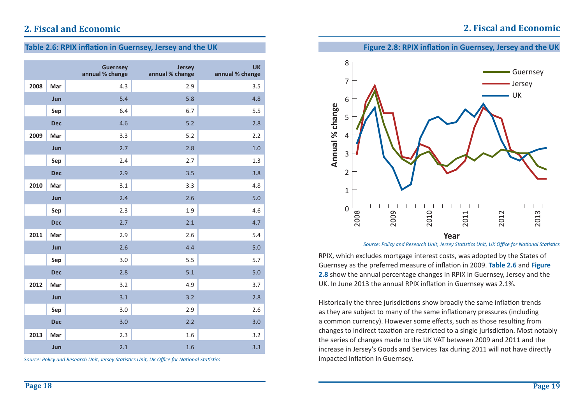## **2. Fiscal and Economic**

### **Table 2.6: RPIX inflation in Guernsey, Jersey and the UK**

|      |            | <b>Guernsey</b><br>annual % change | <b>Jersey</b><br>annual % change | <b>UK</b><br>annual % change |
|------|------------|------------------------------------|----------------------------------|------------------------------|
| 2008 | Mar        | 4.3                                | 2.9                              | 3.5                          |
|      | Jun        | 5.4                                | 5.8                              | 4.8                          |
|      | Sep        | 6.4                                | 6.7                              | 5.5                          |
|      | <b>Dec</b> | 4.6                                | 5.2                              | 2.8                          |
| 2009 | Mar        | 3.3                                | 5.2                              | 2.2                          |
|      | Jun        | 2.7                                | 2.8                              | 1.0                          |
|      | Sep        | 2.4                                | 2.7                              | 1.3                          |
|      | <b>Dec</b> | 2.9                                | 3.5                              | 3.8                          |
| 2010 | Mar        | 3.1                                | 3.3                              | 4.8                          |
|      | Jun        | 2.4                                | 2.6                              | 5.0                          |
|      | Sep        | 2.3                                | 1.9                              | 4.6                          |
|      | <b>Dec</b> | 2.7                                | 2.1                              | 4.7                          |
| 2011 | Mar        | 2.9                                | 2.6                              | 5.4                          |
|      | Jun        | 2.6                                | 4.4                              | 5.0                          |
|      | Sep        | 3.0                                | 5.5                              | 5.7                          |
|      | <b>Dec</b> | 2.8                                | 5.1                              | 5.0                          |
| 2012 | Mar        | 3.2                                | 4.9                              | 3.7                          |
|      | Jun        | 3.1                                | 3.2                              | 2.8                          |
|      | Sep        | 3.0                                | 2.9                              | 2.6                          |
|      | <b>Dec</b> | 3.0                                | 2.2                              | 3.0                          |
| 2013 | Mar        | 2.3                                | 1.6                              | 3.2                          |
|      | Jun        | 2.1                                | 1.6                              | 3.3                          |

*Source: Policy and Research Unit, Jersey Statistics Unit, UK Office for National Statistics* 

### **Figure 2.8: RPIX inflation in Guernsey, Jersey and the UK**



*Source: Policy and Research Unit, Jersey Statistics Unit, UK Office for National Statistics* 

RPIX, which excludes mortgage interest costs, was adopted by the States of Guernsey as the preferred measure of inflation in 2009. **Table 2.6** and **Figure 2.8** show the annual percentage changes in RPIX in Guernsey, Jersey and the UK. In June 2013 the annual RPIX inflation in Guernsey was 2.1%.

Historically the three jurisdictions show broadly the same inflation trends as they are subject to many of the same inflationary pressures (including a common currency). However some effects, such as those resulting from changes to indirect taxation are restricted to a single jurisdiction. Most notably the series of changes made to the UK VAT between 2009 and 2011 and the increase in Jersey's Goods and Services Tax during 2011 will not have directly impacted inflation in Guernsey.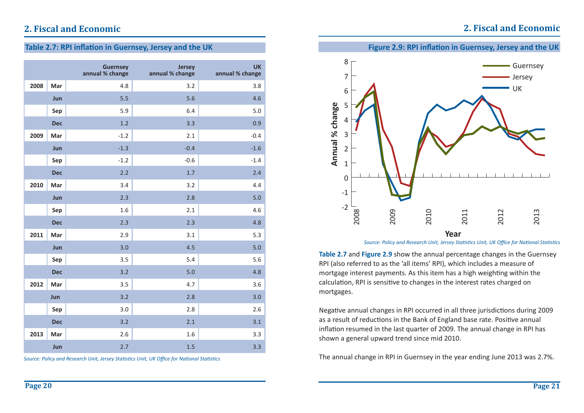## **2. Fiscal and Economic**

### **Table 2.7: RPI inflation in Guernsey, Jersey and the UK**

|      |            | <b>Guernsey</b><br>annual % change | <b>Jersey</b><br>annual % change | <b>UK</b><br>annual % change |
|------|------------|------------------------------------|----------------------------------|------------------------------|
| 2008 | Mar        | 4.8                                | 3.2                              | 3.8                          |
|      | Jun        | 5.5                                | 5.6                              | 4.6                          |
|      | Sep        | 5.9                                | 6.4                              | 5.0                          |
|      | <b>Dec</b> | 1.2                                | 3.3                              | 0.9                          |
| 2009 | Mar        | $-1.2$                             | 2.1                              | $-0.4$                       |
|      | Jun        | $-1.3$                             | $-0.4$                           | $-1.6$                       |
|      | Sep        | $-1.2$                             | $-0.6$                           | $-1.4$                       |
|      | <b>Dec</b> | 2.2                                | 1.7                              | 2.4                          |
| 2010 | Mar        | 3.4                                | 3.2                              | 4.4                          |
|      | Jun        | 2.3                                | 2.8                              | 5.0                          |
|      | Sep        | 1.6                                | 2.1                              | 4.6                          |
|      | <b>Dec</b> | 2.3                                | 2.3                              | 4.8                          |
| 2011 | Mar        | 2.9                                | 3.1                              | 5.3                          |
|      | Jun        | 3.0                                | 4.5                              | 5.0                          |
|      | Sep        | 3.5                                | 5.4                              | 5.6                          |
|      | <b>Dec</b> | 3.2                                | $5.0$                            | 4.8                          |
| 2012 | Mar        | 3.5                                | 4.7                              | 3.6                          |
|      | Jun        | 3.2                                | 2.8                              | 3.0                          |
|      | Sep        | 3.0                                | 2.8                              | 2.6                          |
|      | <b>Dec</b> | 3.2                                | 2.1                              | 3.1                          |
| 2013 | Mar        | 2.6                                | 1.6                              | 3.3                          |
|      | Jun        | 2.7                                | 1.5                              | 3.3                          |

*Source: Policy and Research Unit, Jersey Statistics Unit, UK Office for National Statistics* 





*Source: Policy and Research Unit, Jersey Statistics Unit, UK Office for National Statistics* 

**Table 2.7** and **Figure 2.9** show the annual percentage changes in the Guernsey RPI (also referred to as the 'all items' RPI), which includes a measure of mortgage interest payments. As this item has a high weighting within the calculation, RPI is sensitive to changes in the interest rates charged on mortgages.

Negative annual changes in RPI occurred in all three jurisdictions during 2009 as a result of reductions in the Bank of England base rate. Positive annual inflation resumed in the last quarter of 2009. The annual change in RPI has shown <sup>a</sup> general upward trend since mid 2010.

The annual change in RPI in Guernsey in the year ending June 2013 was 2.7%.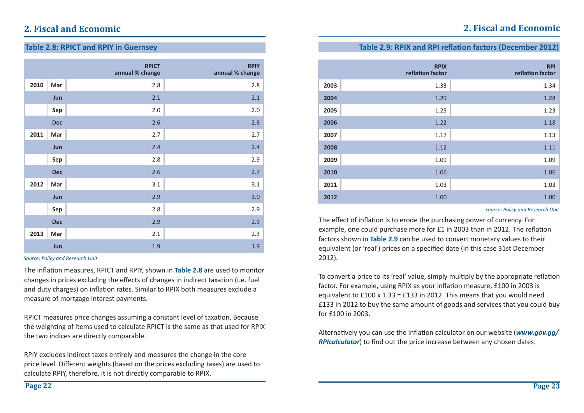### **Table 2.9: RPIX and RPI reflation factors (December 2012)**

|      | <b>RPIX</b><br>reflation factor | <b>RPI</b><br>reflation factor |
|------|---------------------------------|--------------------------------|
| 2003 | 1.33                            | 1.34                           |
| 2004 | 1.29                            | 1.28                           |
| 2005 | 1.25                            | 1.23                           |
| 2006 | 1.22                            | 1.18                           |
| 2007 | 1.17                            | 1.13                           |
| 2008 | 1.12                            | 1.11                           |
| 2009 | 1.09                            | 1.09                           |
| 2010 | 1.06                            | 1.06                           |
| 2011 | 1.03                            | 1.03                           |
| 2012 | 1.00                            | 1.00                           |

#### *Source: Policy and Research Unit*

The effect of inflation is to erode the purchasing power of currency. For example, one could purchase more for £1 in 2003 than in 2012. The reflation factors shown in **Table 2.9** can be used to convert monetary values to their equivalent (or 'real') prices on a specified date (in this case 31st December 2012).

To convert a price to its 'real' value, simply multiply by the appropriate reflation factor. For example, using RPIX as your inflation measure, £100 in 2003 is equivalent to  $£100 \times 1.33 = £133$  in 2012. This means that you would need £133 in 2012 to buy the same amount of goods and services that you could buy for £100 in 2003.

Alternatively you can use the inflation calculator on our website (*www.gov.gg/ RPIcalculator*) to find out the price increase between any chosen dates.

## **2. Fiscal and Economic**

### **Table 2.8: RPICT and RPIY in Guernsey**

|      |            | <b>RPICT</b><br>annual % change | <b>RPIY</b><br>annual % change |
|------|------------|---------------------------------|--------------------------------|
| 2010 | Mar        | 2.8                             | 2.8                            |
|      | Jun        | 2.1                             | 2.1                            |
|      | Sep        | 2.0                             | 2.0                            |
|      | <b>Dec</b> | 2.6                             | 2.6                            |
| 2011 | Mar        | 2.7                             | 2.7                            |
|      | Jun        | 2.4                             | 2.4                            |
|      | Sep        | 2.8                             | 2.9                            |
|      | <b>Dec</b> | 2.6                             | 2.7                            |
| 2012 | Mar        | 3.1                             | 3.1                            |
|      | Jun        | 2.9                             | 3.0                            |
|      | Sep        | 2.8                             | 2.9                            |
|      | <b>Dec</b> | 2.9                             | 2.9                            |
| 2013 | Mar        | 2.1                             | 2.3                            |
|      | Jun        | 1.9                             | 1.9                            |

#### *Source: Policy and Research Unit*

The inflation measures, RPICT and RPIY, shown in **Table 2.8** are used to monitor changes in prices excluding the effects of changes in indirect taxation (i.e. fuel and duty charges) on inflation rates. Similar to RPIX both measures exclude a measure of mortgage interest payments.

RPICT measures price changes assuming a constant level of taxation. Because the weighting of items used to calculate RPICT is the same as that used for RPIX the two indices are directly comparable.

RPIY excludes indirect taxes entirely and measures the change in the core price level. Different weights (based on the prices excluding taxes) are used to calculate RPIY, therefore, it is not directly comparable to RPIX.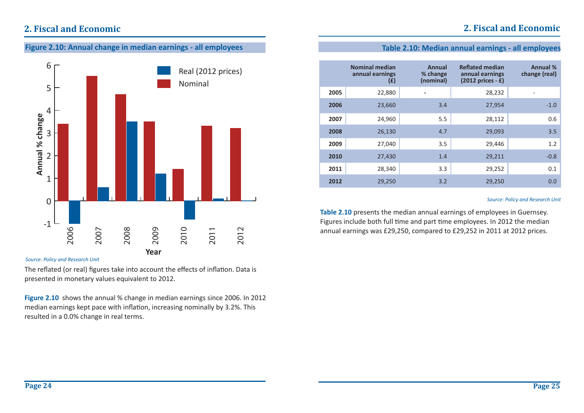## **2. Fiscal and Economic**

**Figure 2.10: Annual change in median earnings - all employees**



#### *Source: Policy and Research Unit*

The reflated (or real) figures take into account the effects of inflation. Data is presented in monetary values equivalent to 2012.

**Figure 2.10** shows the annual % change in median earnings since 2006. In 2012 median earnings kept pace with inflation, increasing nominally by 3.2%. This resulted in a 0.0% change in real terms.

### **Table 2.10: Median annual earnings - all employees**

|      | <b>Nominal median</b><br>annual earnings<br>(E) | Annual<br>% change<br>(nominal) | <b>Reflated median</b><br>annual earnings<br>$(2012)$ prices - £) | <b>Annual %</b><br>change (real) |
|------|-------------------------------------------------|---------------------------------|-------------------------------------------------------------------|----------------------------------|
| 2005 | 22,880                                          |                                 | 28,232                                                            |                                  |
| 2006 | 23,660                                          | 3.4                             | 27,954                                                            | $-1.0$                           |
| 2007 | 24,960                                          | 5.5                             | 28,112                                                            | 0.6                              |
| 2008 | 26,130                                          | 4.7                             | 29,093                                                            | 3.5                              |
| 2009 | 27,040                                          | 3.5                             | 29,446                                                            | 1.2                              |
| 2010 | 27,430                                          | 1.4                             | 29,211                                                            | $-0.8$                           |
| 2011 | 28,340                                          | 3.3                             | 29,252                                                            | 0.1                              |
| 2012 | 29,250                                          | 3.2                             | 29,250                                                            | 0.0                              |

#### *Source: Policy and Research Unit*

**Table 2.10** presents the median annual earnings of employees in Guernsey. Figures include both full time and part time employees. In 2012 the median annual earnings was £29,250, compared to £29,252 in 2011 at 2012 prices.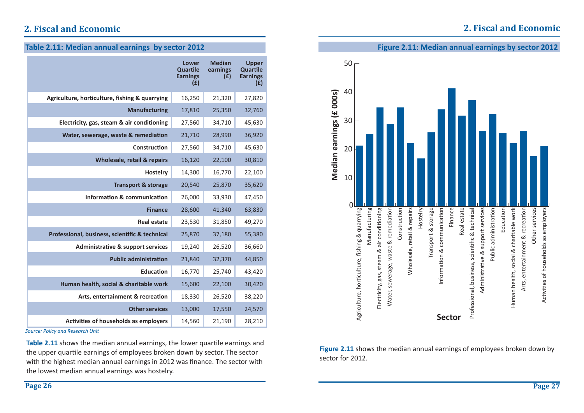## **2. Fiscal and Economic**

|  | Table 2.11: Median annual earnings by sector 2012 |
|--|---------------------------------------------------|
|--|---------------------------------------------------|

|                                                | <b>Lower</b><br>Quartile<br><b>Earnings</b><br>(E) | <b>Median</b><br>earnings<br>(E) | <b>Upper</b><br>Quartile<br><b>Earnings</b><br>(E) |
|------------------------------------------------|----------------------------------------------------|----------------------------------|----------------------------------------------------|
| Agriculture, horticulture, fishing & quarrying | 16,250                                             | 21,320                           | 27,820                                             |
| <b>Manufacturing</b>                           | 17,810                                             | 25,350                           | 32,760                                             |
| Electricity, gas, steam & air conditioning     | 27,560                                             | 34,710                           | 45,630                                             |
| Water, sewerage, waste & remediation           | 21,710                                             | 28,990                           | 36,920                                             |
| Construction                                   | 27,560                                             | 34,710                           | 45,630                                             |
| Wholesale, retail & repairs                    | 16,120                                             | 22,100                           | 30,810                                             |
| <b>Hostelry</b>                                | 14,300                                             | 16,770                           | 22,100                                             |
| <b>Transport &amp; storage</b>                 | 20,540                                             | 25,870                           | 35,620                                             |
| Information & communication                    | 26,000                                             | 33,930                           | 47,450                                             |
| <b>Finance</b>                                 | 28,600                                             | 41,340                           | 63,830                                             |
| <b>Real estate</b>                             | 23,530                                             | 31,850                           | 49,270                                             |
| Professional, business, scientific & technical | 25,870                                             | 37,180                           | 55,380                                             |
| <b>Administrative &amp; support services</b>   | 19,240                                             | 26,520                           | 36,660                                             |
| <b>Public administration</b>                   | 21,840                                             | 32,370                           | 44,850                                             |
| <b>Education</b>                               | 16,770                                             | 25,740                           | 43,420                                             |
| Human health, social & charitable work         | 15,600                                             | 22,100                           | 30,420                                             |
| Arts, entertainment & recreation               | 18,330                                             | 26,520                           | 38,220                                             |
| <b>Other services</b>                          | 13,000                                             | 17,550                           | 24,570                                             |
| Activities of households as employers          | 14,560                                             | 21,190                           | 28,210                                             |

*Source: Policy and Research Unit*

**Table 2.11** shows the median annual earnings, the lower quartile earnings and the upper quartile earnings of employees broken down by sector. The sector with the highest median annual earnings in 2012 was finance. The sector with the lowest median annual earnings was hostelry.





**Figure 2.11** shows the median annual earnings of employees broken down by sector for 2012.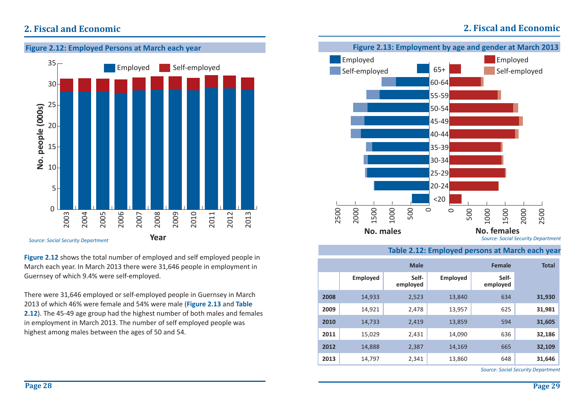## **2. Fiscal and Economic**



**Figure 2.12** shows the total number of employed and self employed people in March each year. In March 2013 there were 31,646 people in employment in Guernsey of which 9.4% were self-employed.

There were 31,646 employed or self-employed people in Guernsey in March 2013 of which 46% were female and 54% were male (**Figure 2.13** and **Table 2.12**). The 45-49 age group had the highest number of both males and females in employment in March 2013. The number of self employed people was highest among males between the ages of 50 and 54.



### **Table 2.12: Employed persons at March each year**

|      |                 | <b>Male</b>       |                 | <b>Female</b>     | <b>Total</b> |
|------|-----------------|-------------------|-----------------|-------------------|--------------|
|      | <b>Employed</b> | Self-<br>employed | <b>Employed</b> | Self-<br>employed |              |
| 2008 | 14,933          | 2,523             | 13,840          | 634               | 31,930       |
| 2009 | 14,921          | 2,478             | 13,957          | 625               | 31,981       |
| 2010 | 14,733          | 2,419             | 13,859          | 594               | 31,605       |
| 2011 | 15,029          | 2,431             | 14,090          | 636               | 32,186       |
| 2012 | 14,888          | 2,387             | 14,169          | 665               | 32,109       |
| 2013 | 14,797          | 2,341             | 13,860          | 648               | 31,646       |

*Source: Social Security Department*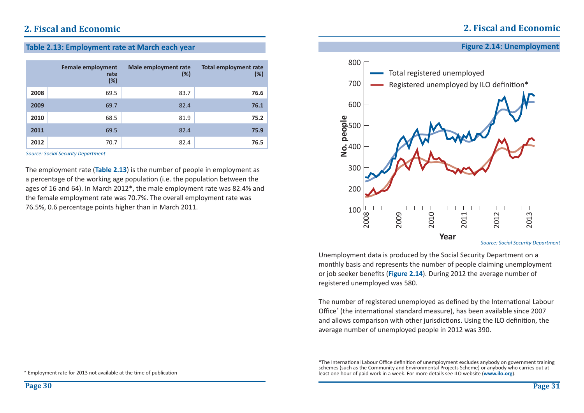### **2. Fiscal and Economic**

### **Table 2.13: Employment rate at March each year**

|      | <b>Female employment</b><br>rate<br>(%) | Male employment rate<br>(%) | <b>Total employment rate</b><br>(%) |
|------|-----------------------------------------|-----------------------------|-------------------------------------|
| 2008 | 69.5                                    | 83.7                        | 76.6                                |
| 2009 | 69.7                                    | 82.4                        | 76.1                                |
| 2010 | 68.5                                    | 81.9                        | 75.2                                |
| 2011 | 69.5                                    | 82.4                        | 75.9                                |
| 2012 | 70.7                                    | 82.4                        | 76.5                                |

*Source: Social Security Department*

The employment rate (**Table 2.13**) is the number of people in employment as a percentage of the working age population (i.e. the population between the ages of 16 and 64). In March 2012\*, the male employment rate was 82.4% and the female employment rate was 70.7%. The overall employment rate was 76.5%, 0.6 percentage points higher than in March 2011.





700

800

Unemployment data is produced by the Social Security Department on a monthly basis and represents the number of people claiming unemployment or job seeker benefits (**Figure 2.14**). During 2012 the average number of registered unemployed was 580.

The number of registered unemployed as defined by the International Labour Office<sup>\*</sup> (the international standard measure), has been available since 2007 and allows comparison with other jurisdictions. Using the ILO definition, the average number of unemployed people in 2012 was 390.

<sup>\*</sup>The International Labour Office definition of unemployment excludes anybody on government training schemes (such as the Community and Environmental Projects Scheme) or anybody who carries out at least one hour of paid work in a week. For more details see ILO website (**www.ilo.org**).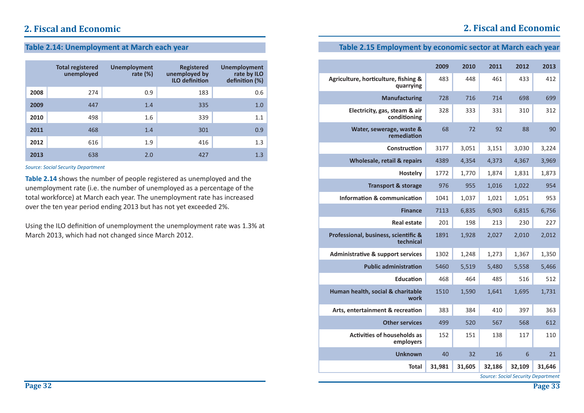### **Table 2.14: Unemployment at March each year**

|      | <b>Total registered</b><br>unemployed | <b>Unemployment</b><br>rate $(\%)$ | <b>Registered</b><br>unemployed by<br><b>ILO definition</b> | <b>Unemployment</b><br>rate by ILO<br>definition (%) |
|------|---------------------------------------|------------------------------------|-------------------------------------------------------------|------------------------------------------------------|
| 2008 | 274                                   | 0.9                                | 183                                                         | 0.6                                                  |
| 2009 | 447                                   | 1.4                                | 335                                                         | 1.0                                                  |
| 2010 | 498                                   | 1.6                                | 339                                                         | 1.1                                                  |
| 2011 | 468                                   | 1.4                                | 301                                                         | 0.9                                                  |
| 2012 | 616                                   | 1.9                                | 416                                                         | 1.3                                                  |
| 2013 | 638                                   | 2.0                                | 427                                                         | 1.3                                                  |

*Source: Social Security Department*

**Table 2.14** shows the number of people registered as unemployed and the unemployment rate (i.e. the number of unemployed as a percentage of the total workforce) at March each year. The unemployment rate has increased over the ten year period ending 2013 but has not yet exceeded 2%.

Using the ILO definition of unemployment the unemployment rate was 1.3% at March 2013, which had not changed since March 2012.

### **Table 2.15 Employment by economic sector at March each year**

|                                                   | 2009   | 2010   | 2011   | 2012   | 2013   |
|---------------------------------------------------|--------|--------|--------|--------|--------|
| Agriculture, horticulture, fishing &<br>quarrying | 483    | 448    | 461    | 433    | 412    |
| <b>Manufacturing</b>                              | 728    | 716    | 714    | 698    | 699    |
| Electricity, gas, steam & air<br>conditioning     | 328    | 333    | 331    | 310    | 312    |
| Water, sewerage, waste &<br>remediation           | 68     | 72     | 92     | 88     | 90     |
| Construction                                      | 3177   | 3,051  | 3,151  | 3,030  | 3,224  |
| Wholesale, retail & repairs                       | 4389   | 4,354  | 4,373  | 4,367  | 3,969  |
| Hostelry                                          | 1772   | 1,770  | 1,874  | 1,831  | 1,873  |
| <b>Transport &amp; storage</b>                    | 976    | 955    | 1,016  | 1,022  | 954    |
| <b>Information &amp; communication</b>            | 1041   | 1,037  | 1,021  | 1,051  | 953    |
| <b>Finance</b>                                    | 7113   | 6,835  | 6,903  | 6,815  | 6,756  |
| <b>Real estate</b>                                | 201    | 198    | 213    | 230    | 227    |
| Professional, business, scientific &<br>technical | 1891   | 1,928  | 2,027  | 2,010  | 2,012  |
| <b>Administrative &amp; support services</b>      | 1302   | 1,248  | 1,273  | 1,367  | 1,350  |
| <b>Public administration</b>                      | 5460   | 5,519  | 5,480  | 5,558  | 5,466  |
| <b>Education</b>                                  | 468    | 464    | 485    | 516    | 512    |
| Human health, social & charitable<br>work         | 1510   | 1,590  | 1,641  | 1,695  | 1,731  |
| Arts, entertainment & recreation                  | 383    | 384    | 410    | 397    | 363    |
| <b>Other services</b>                             | 499    | 520    | 567    | 568    | 612    |
| <b>Activities of households as</b><br>employers   | 152    | 151    | 138    | 117    | 110    |
| <b>Unknown</b>                                    | 40     | 32     | 16     | 6      | 21     |
| <b>Total</b>                                      | 31,981 | 31,605 | 32,186 | 32,109 | 31,646 |

*Source: Social Security Department*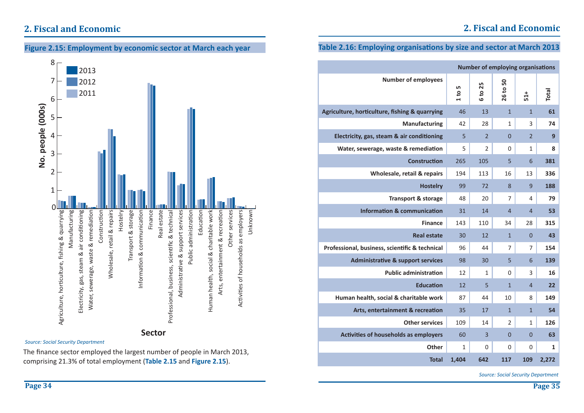



*Source: Social Security Department*

The finance sector employed the largest number of people in March 2013, comprising 21.3% of total employment (**Table 2.15** and **Figure 2.15**).

### **Table 2.16: Employing organisations by size and sector at March 2013**

| <b>Number of employing organisations</b>       |             |                |                |                 |       |
|------------------------------------------------|-------------|----------------|----------------|-----------------|-------|
| <b>Number of employees</b>                     | LN,<br>1 to | 6 to 25        | 50<br>26 to !  | $51+$           | Total |
| Agriculture, horticulture, fishing & quarrying | 46          | 13             | $\mathbf{1}$   | $\mathbf{1}$    | 61    |
| <b>Manufacturing</b>                           | 42          | 28             | 1              | 3               | 74    |
| Electricity, gas, steam & air conditioning     | 5           | $\overline{2}$ | $\overline{0}$ | $\overline{2}$  | 9     |
| Water, sewerage, waste & remediation           | 5           | $\mathcal{P}$  | 0              | 1               | 8     |
| <b>Construction</b>                            | 265         | 105            | 5              | $6\phantom{1}6$ | 381   |
| Wholesale, retail & repairs                    | 194         | 113            | 16             | 13              | 336   |
| <b>Hostelry</b>                                | 99          | 72             | 8              | 9               | 188   |
| <b>Transport &amp; storage</b>                 | 48          | 20             | 7              | 4               | 79    |
| <b>Information &amp; communication</b>         | 31          | 14             | $\overline{4}$ | $\overline{4}$  | 53    |
| <b>Finance</b>                                 | 143         | 110            | 34             | 28              | 315   |
| <b>Real estate</b>                             | 30          | 12             | $\mathbf{1}$   | $\overline{0}$  | 43    |
| Professional, business, scientific & technical | 96          | 44             | 7              | 7               | 154   |
| <b>Administrative &amp; support services</b>   | 98          | 30             | 5              | 6               | 139   |
| <b>Public administration</b>                   | 12          | 1              | $\mathbf 0$    | 3               | 16    |
| <b>Education</b>                               | 12          | 5              | $\mathbf{1}$   | $\overline{4}$  | 22    |
| Human health, social & charitable work         | 87          | 44             | 10             | 8               | 149   |
| Arts, entertainment & recreation               | 35          | 17             | $\overline{1}$ | $\mathbf{1}$    | 54    |
| <b>Other services</b>                          | 109         | 14             | 2              | $\mathbf{1}$    | 126   |
| Activities of households as employers          | 60          | 3              | $\overline{0}$ | $\overline{0}$  | 63    |
| Other                                          | 1           | 0              | 0              | 0               | 1     |
| <b>Total</b>                                   | 1,404       | 642            | 117            | 109             | 2,272 |

*Source: Social Security Department*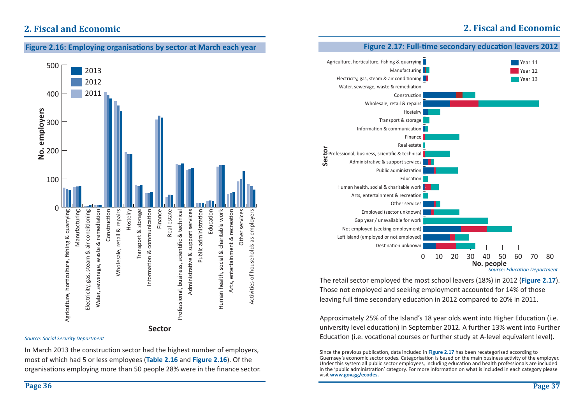## **2. Fiscal and Economic**

### **Figure 2.16: Employing organisa Ɵ ons by sector at March each year**



#### *Source: Social Security Department*

In March 2013 the construction sector had the highest number of employers, most of which had 5 or less employees (**Table 2.16** and **Figure 2.16**). Of the organisations employing more than 50 people 28% were in the finance sector.

### **Figure 2.17: Full-Ɵ me secondary educa Ɵ on leavers 2012**



The retail sector employed the most school leavers (18%) in 2012 (**Figure 2.17**). Those not employed and seeking employment accounted for 14% of those leaving full time secondary education in 2012 compared to 20% in 2011.

Approximately 25% of the Island's 18 year olds went into Higher Education (i.e. university level education) in September 2012. A further 13% went into Further Education (i.e. vocational courses or further study at A-level equivalent level).

Since the previous publication, data included in **Figure 2.17** has been recategorised according to Guernsey's economic sector codes. Categorisation is based on the main business activity of the employer. Under this system all public sector employees, including education and health professionals are included in the 'public administration' category. For more information on what is included in each category please visit **www.gov.gg/ecodes.**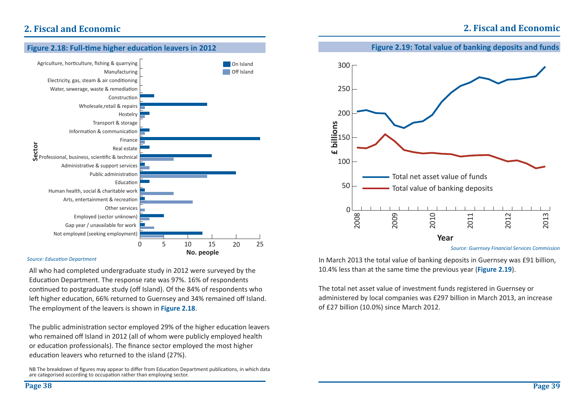## **2. Fiscal and Economic**



### **Figure 2.18: Full-Ɵ me higher educaƟ on leavers in 2012**

#### *Source: EducaƟ on Department*

All who had completed undergraduate study in 2012 were surveyed by the Education Department. The response rate was 97%. 16% of respondents continued to postgraduate study (off Island). Of the 84% of respondents who left higher education, 66% returned to Guernsey and 34% remained off Island. The employment of the leavers is shown in **Figure 2.18**.

The public administration sector employed 29% of the higher education leavers who remained off Island in 2012 (all of whom were publicly employed health or education professionals). The finance sector employed the most higher education leavers who returned to the island (27%).

NB The breakdown of figures may appear to differ from Education Department publications, in which data are categorised according to occupation rather than employing sector.



In March 2013 the total value of banking deposits in Guernsey was £91 billion, 10.4% less than at the same time the previous year (**Figure 2.19**).

The total net asset value of investment funds registered in Guernsey or administered by local companies was £297 billion in March 2013, an increase of £27 billion (10.0%) since March 2012.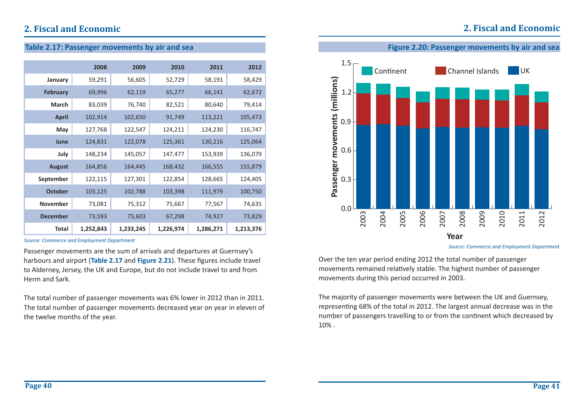## **2. Fiscal and Economic**

### **Table 2.17: Passenger movements by air and sea**

|                 | 2008      | 2009      | 2010      | 2011      | 2012      |
|-----------------|-----------|-----------|-----------|-----------|-----------|
| January         | 59,291    | 56,605    | 52,729    | 58,191    | 58,429    |
| <b>February</b> | 69,996    | 62,119    | 65,277    | 66,141    | 62,672    |
| <b>March</b>    | 83,039    | 76,740    | 82,521    | 80,640    | 79,414    |
| April           | 102,914   | 102,650   | 91,749    | 113,221   | 105,473   |
| May             | 127,768   | 122,547   | 124,211   | 124,230   | 116,747   |
| June            | 124,831   | 122,078   | 125,361   | 130,216   | 125,064   |
| July            | 148,234   | 145,057   | 147,477   | 153,939   | 136,079   |
| <b>August</b>   | 164,856   | 164,445   | 168,432   | 166,555   | 155,879   |
| September       | 122,115   | 127,301   | 122,854   | 128,665   | 124,405   |
| <b>October</b>  | 103,125   | 102,788   | 103,398   | 111,979   | 100,750   |
| <b>November</b> | 73,081    | 75,312    | 75,667    | 77,567    | 74,635    |
| <b>December</b> | 73,593    | 75,603    | 67,298    | 74,927    | 73,829    |
| Total           | 1,252,843 | 1,233,245 | 1,226,974 | 1,286,271 | 1,213,376 |

*Source: Commerce and Employment Department*

Passenger movements are the sum of arrivals and departures at Guernsey's harbours and airport (Table 2.17 and Figure 2.21). These figures include travel to Alderney, Jersey, the UK and Europe, but do not include travel to and from Herm and Sark.

The total number of passenger movements was 6% lower in 2012 than in 2011. The total number of passenger movements decreased year on year in eleven of the twelve months of the year.



*Source: Commerce and Employment Department*

Over the ten year period ending 2012 the total number of passenger movements remained relatively stable. The highest number of passenger movements during this period occurred in 2003.

The majority of passenger movements were between the UK and Guernsey, representing 68% of the total in 2012. The largest annual decrease was in the number of passengers travelling to or from the continent which decreased by 10% .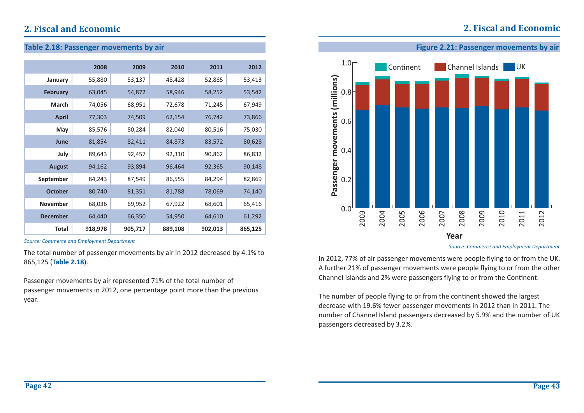**Table 2.18: Passenger movements by air**

### **2. Fiscal and Economic**

|                 | 2008    | 2009    | 2010    | 2011    | 2012    |
|-----------------|---------|---------|---------|---------|---------|
| January         | 55,880  | 53,137  | 48,428  | 52,885  | 53,413  |
| <b>February</b> | 63,045  | 54,872  | 58,946  | 58,252  | 53,542  |
| <b>March</b>    | 74,056  | 68,951  | 72,678  | 71,245  | 67,949  |
| <b>April</b>    | 77,303  | 74,509  | 62,154  | 76,742  | 73,866  |
| May             | 85,576  | 80,284  | 82,040  | 80,516  | 75,030  |
| June            | 81,854  | 82,411  | 84,873  | 83,572  | 80,628  |
| July            | 89,643  | 92,457  | 92,310  | 90,862  | 86,832  |
| <b>August</b>   | 94,162  | 93,894  | 96,464  | 92,365  | 90,148  |
| September       | 84,243  | 87,549  | 86,555  | 84,294  | 82,869  |
| <b>October</b>  | 80,740  | 81,351  | 81,788  | 78,069  | 74,140  |
| <b>November</b> | 68,036  | 69,952  | 67,922  | 68,601  | 65,416  |
| <b>December</b> | 64,440  | 66,350  | 54,950  | 64,610  | 61,292  |
| <b>Total</b>    | 918,978 | 905,717 | 889,108 | 902,013 | 865,125 |

*Source: Commerce and Employment Department*

The total number of passenger movements by air in 2012 decreased by 4.1% to 865,125 (**Table 2.18**).

Passenger movements by air represented 71% of the total number of passenger movements in 2012, one percentage point more than the previous year.



*Source: Commerce and Employment Department*

In 2012, 77% of air passenger movements were people flying to or from the UK. A further 21% of passenger movements were people flying to or from the other Channel Islands and 2% were passengers flying to or from the Continent.

The number of people flying to or from the continent showed the largest decrease with 19.6% fewer passenger movements in 2012 than in 2011. The number of Channel Island passengers decreased by 5.9% and the number of UK passengers decreased by 3.2%.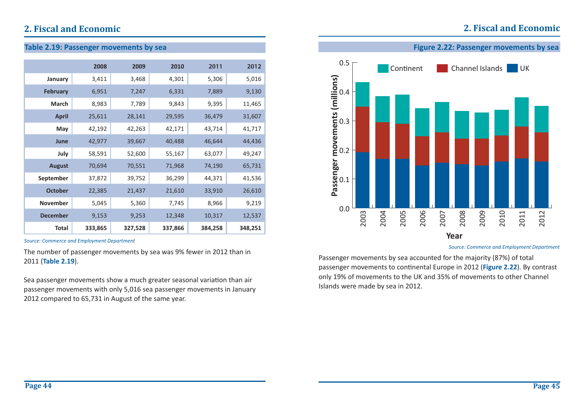### **2. Fiscal and Economic**

### **Table 2.19: Passenger movements by sea**

|                 | 2008    | 2009    | 2010    | 2011    | 2012    |
|-----------------|---------|---------|---------|---------|---------|
| January         | 3,411   | 3,468   | 4,301   | 5,306   | 5,016   |
| <b>February</b> | 6,951   | 7,247   | 6,331   | 7,889   | 9,130   |
| <b>March</b>    | 8,983   | 7,789   | 9,843   | 9,395   | 11,465  |
| <b>April</b>    | 25,611  | 28,141  | 29,595  | 36,479  | 31,607  |
| May             | 42,192  | 42,263  | 42,171  | 43,714  | 41,717  |
| June            | 42,977  | 39,667  | 40,488  | 46,644  | 44,436  |
| July            | 58,591  | 52,600  | 55,167  | 63,077  | 49,247  |
| <b>August</b>   | 70,694  | 70,551  | 71,968  | 74,190  | 65,731  |
| September       | 37,872  | 39,752  | 36,299  | 44,371  | 41,536  |
| <b>October</b>  | 22,385  | 21,437  | 21,610  | 33,910  | 26,610  |
| <b>November</b> | 5,045   | 5,360   | 7,745   | 8,966   | 9,219   |
| <b>December</b> | 9,153   | 9,253   | 12,348  | 10,317  | 12,537  |
| <b>Total</b>    | 333,865 | 327,528 | 337,866 | 384,258 | 348,251 |

*Source: Commerce and Employment Department*

The number of passenger movements by sea was 9% fewer in 2012 than in 2011 (**Table 2.19**).

Sea passenger movements show a much greater seasonal variation than air passenger movements with only 5,016 sea passenger movements in January 2012 compared to 65,731 in August of the same year.



*Source: Commerce and Employment Department*

Passenger movements by sea accounted for the majority (87%) of total passenger movements to continental Europe in 2012 (Figure 2.22). By contrast only 19% of movements to the UK and 35% of movements to other Channel Islands were made by sea in 2012.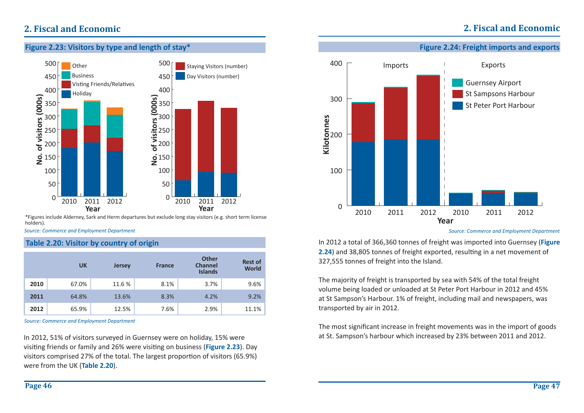

\*Figures include Alderney, Sark and Herm departures but exclude long stay visitors (e.g. short term license holders).

*Source: Commerce and Employment Department*

### **Table 2.20: Visitor by country of origin**

|      | <b>UK</b> | <b>Jersey</b> | <b>France</b> | <b>Other</b><br><b>Channel</b><br><b>Islands</b> | <b>Rest of</b><br><b>World</b> |
|------|-----------|---------------|---------------|--------------------------------------------------|--------------------------------|
| 2010 | 67.0%     | 11.6 %        | 8.1%          | 3.7%                                             | 9.6%                           |
| 2011 | 64.8%     | 13.6%         | 8.3%          | 4.2%                                             | 9.2%                           |
| 2012 | 65.9%     | 12.5%         | 7.6%          | 2.9%                                             | 11.1%                          |

*Source: Commerce and Employment Department*

In 2012, 51% of visitors surveyed in Guernsey were on holiday, 15% were visiting friends or family and 26% were visiting on business (**Figure 2.23**). Day visitors comprised 27% of the total. The largest proportion of visitors (65.9%) were from the UK (**Table 2.20**).



**Figure 2.24: Freight imports and exports**

**2. Fiscal and Economic**

In 2012 a total of 366,360 tonnes of freight was imported into Guernsey (**Figure 2.24**) and 38,805 tonnes of freight exported, resulting in a net movement of 327,555 tonnes of freight into the Island.

The majority of freight is transported by sea with 54% of the total freight volume being loaded or unloaded at St Peter Port Harbour in 2012 and 45% at St Sampson's Harbour. 1% of freight, including mail and newspapers, was transported by air in 2012.

The most significant increase in freight movements was in the import of goods at St. Sampson's harbour which increased by 23% between 2011 and 2012.

*Source: Commerce and Employment Department*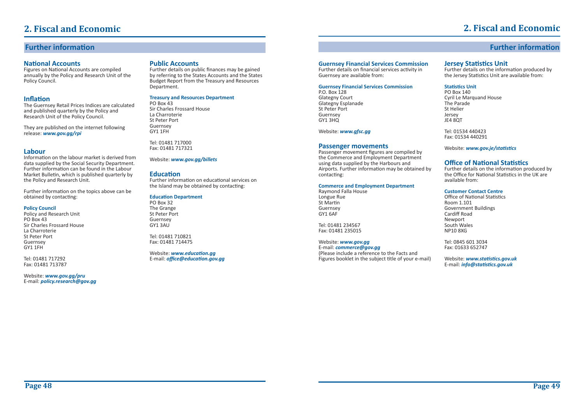### **Further information**

#### **National Accounts**

Figures on National Accounts are compiled annually by the Policy and Research Unit of the Policy Council.

### **Inflation**

 The Guernsey Retail Prices Indices are calculated and published quarterly by the Policy and Research Unit of the Policy Council.

They are published on the internet following release: *www.gov.gg/rpi*

#### **Labour**

Information on the labour market is derived from data supplied by the Social Security Department. Further information can be found in the Labour Market BulleƟ n, which is published quarterly by the Policy and Research Unit.

Further information on the topics above can be obtained by contacting:

#### **Policy Council**

Policy and Research Unit PO Box 43 Sir Charles Frossard House La CharroterieSt Peter PortGuernsey GY1 1FH

Tel: 01481 717292 Fax: 01481 713787

Website: *www.gov.gg/pru* E-mail: *policy.research@gov.gg*

#### **Public Accounts**

Further details on public finances may be gained by referring to the States Accounts and the States Budget Report from the Treasury and Resources Department.

#### **Treasury and Resources Department**

PO Box 43 Sir Charles Frossard HouseLa Charroterie St Peter PortGuernsey GY1 1FH

Tel: 01481 717000Fax: 01481 717321

#### Website: *www.gov.gg/billets*

#### **Education**

Further information on educational services on the Island may be obtained by contacting:

#### **EducaƟ on Department**

PO Box 32The Grange St Peter Port Guernsey GY1 3AU

Tel: 01481 710821Fax: 01481 714475

Website: **www.education.gg** E-mail: *office@education.gov.gg* 

#### **Guernsey Financial Services Commission**

Further details on financial services activity in Guernsey are available from:

#### **Guernsey Financial Services Commission**

P.O. Box 128 Glategny Court Glategny Esplanade St Peter PortGuernsey  $GY1$  3HO

#### Website: *www.gfsc.gg*

#### **Passenger movements**

Passenger movement figures are compiled by the Commerce and Employment Department using data supplied by the Harbours and Airports. Further information may be obtained by contacting:

#### **Commerce and Employment Department**

Raymond Falla House Longue Rue St Martin Guernsey GY1 6AF

Tel: 01481 234567Fax: 01481 235015

#### Website: *www.gov.gg*

E-mail: *commerce@gov.gg* (Please include a reference to the Facts and Figures booklet in the subject title of your e-mail)

### **Jersey Statistics Unit**

Further details on the information produced by the Jersey Statistics Unit are available from:

#### **StaƟ sƟ cs Unit**

PO Box 140 Cyril Le Marquand House The ParadeSt HelierJersey JE4 8OT

Tel: 01534 440423Fax: 01534 440291

Website: *www.gov.je/staƟ sƟ cs* 

### **Office of National Statistics**

Further details on the information produced by the Office for National Statistics in the UK are available from:

#### **Customer Contact Centre**

Office of National Statistics Room 1.101Government Buildings Cardiff Road Newport South Wales NP10 8XG

Tel: 0845 601 3034Fax: 01633 652747

Website: *www.staƟ sƟ cs.gov.uk* E-mail: *info@staƟ sƟ cs.gov.uk*

### **2. Fiscal and Economic**

**Further information**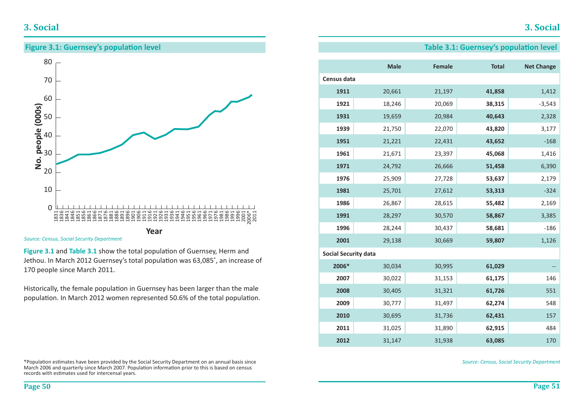### **3. Social**

20

30

40





*Source: Census, Social Security Department*

Figure 3.1 and Table 3.1 show the total population of Guernsey, Herm and Jethou. In March 2012 Guernsey's total population was 63,085\*, an increase of 170 people since March 2011.

Historically, the female population in Guernsey has been larger than the male population. In March 2012 women represented 50.6% of the total population.

\*PopulaƟ on esƟ mates have been provided by the Social Security Department on an annual basis since March 2006 and quarterly since March 2007. Population information prior to this is based on census records with estimates used for intercensal years.

### **Table 3.1: Guernsey's population level**

|                             | <b>Male</b> | Female | <b>Total</b> | <b>Net Change</b> |
|-----------------------------|-------------|--------|--------------|-------------------|
| Census data                 |             |        |              |                   |
| 1911                        | 20,661      | 21,197 | 41,858       | 1,412             |
| 1921                        | 18,246      | 20,069 | 38,315       | $-3,543$          |
| 1931                        | 19,659      | 20,984 | 40,643       | 2,328             |
| 1939                        | 21,750      | 22,070 | 43,820       | 3,177             |
| 1951                        | 21,221      | 22,431 | 43,652       | $-168$            |
| 1961                        | 21,671      | 23,397 | 45,068       | 1,416             |
| 1971                        | 24,792      | 26,666 | 51,458       | 6,390             |
| 1976                        | 25,909      | 27,728 | 53,637       | 2,179             |
| 1981                        | 25,701      | 27,612 | 53,313       | $-324$            |
| 1986                        | 26,867      | 28,615 | 55,482       | 2,169             |
| 1991                        | 28,297      | 30,570 | 58,867       | 3,385             |
| 1996                        | 28,244      | 30,437 | 58,681       | $-186$            |
| 2001                        | 29,138      | 30,669 | 59,807       | 1,126             |
| <b>Social Security data</b> |             |        |              |                   |
| 2006*                       | 30,034      | 30,995 | 61,029       |                   |
| 2007                        | 30,022      | 31,153 | 61,175       | 146               |
| 2008                        | 30,405      | 31,321 | 61,726       | 551               |
| 2009                        | 30,777      | 31,497 | 62,274       | 548               |
| 2010                        | 30,695      | 31,736 | 62,431       | 157               |
| 2011                        | 31,025      | 31,890 | 62,915       | 484               |
| 2012                        | 31,147      | 31,938 | 63,085       | 170               |

*Source: Census, Social Security Department*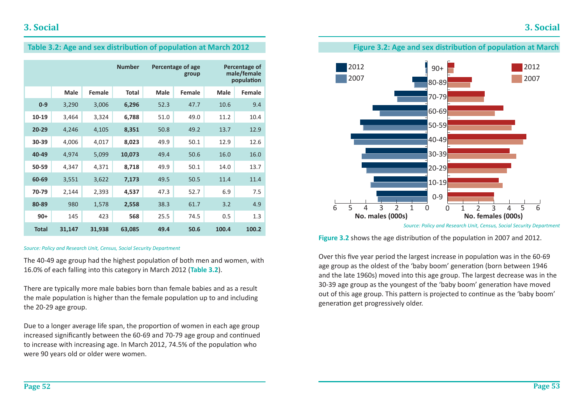



*Source: Policy and Research Unit, Census, Social Security Department*

**Figure 3.2** shows the age distribution of the population in 2007 and 2012.

Over this five year period the largest increase in population was in the 60-69 age group as the oldest of the 'baby boom' generation (born between 1946 and the late 1960s) moved into this age group. The largest decrease was in the 30-39 age group as the youngest of the 'baby boom' generation have moved out of this age group. This pattern is projected to continue as the 'baby boom' generation get progressively older.

### **Table 3.2: Age and sex distribution of population at March 2012**

|              |             |        | <b>Number</b> | Percentage of age<br>group |        |       | Percentage of<br>male/female<br>population |
|--------------|-------------|--------|---------------|----------------------------|--------|-------|--------------------------------------------|
|              | <b>Male</b> | Female | <b>Total</b>  | <b>Male</b>                | Female | Male  | Female                                     |
| $0-9$        | 3,290       | 3,006  | 6,296         | 52.3                       | 47.7   | 10.6  | 9.4                                        |
| 10-19        | 3,464       | 3,324  | 6,788         | 51.0                       | 49.0   | 11.2  | 10.4                                       |
| $20 - 29$    | 4,246       | 4,105  | 8,351         | 50.8                       | 49.2   | 13.7  | 12.9                                       |
| 30-39        | 4,006       | 4,017  | 8,023         | 49.9                       | 50.1   | 12.9  | 12.6                                       |
| 40-49        | 4,974       | 5,099  | 10,073        | 49.4                       | 50.6   | 16.0  | 16.0                                       |
| 50-59        | 4,347       | 4,371  | 8,718         | 49.9                       | 50.1   | 14.0  | 13.7                                       |
| 60-69        | 3,551       | 3,622  | 7,173         | 49.5                       | 50.5   | 11.4  | 11.4                                       |
| 70-79        | 2,144       | 2,393  | 4,537         | 47.3                       | 52.7   | 6.9   | 7.5                                        |
| 80-89        | 980         | 1,578  | 2,558         | 38.3                       | 61.7   | 3.2   | 4.9                                        |
| $90+$        | 145         | 423    | 568           | 25.5                       | 74.5   | 0.5   | 1.3                                        |
| <b>Total</b> | 31,147      | 31,938 | 63,085        | 49.4                       | 50.6   | 100.4 | 100.2                                      |

#### *Source: Policy and Research Unit, Census, Social Security Department*

The 40-49 age group had the highest population of both men and women, with 16.0% of each falling into this category in March 2012 (**Table 3.2**).

There are typically more male babies born than female babies and as a result the male population is higher than the female population up to and including the 20-29 age group.

Due to a longer average life span, the proportion of women in each age group increased significantly between the 60-69 and 70-79 age group and continued to increase with increasing age. In March 2012, 74.5% of the population who were 90 years old or older were women.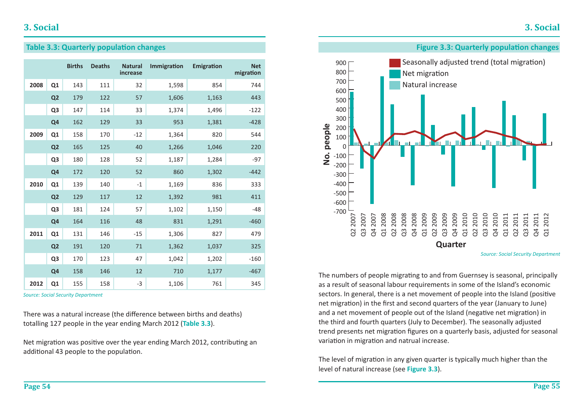### **Table 3.3: Quarterly population changes**

|      |                | <b>Births</b> | <b>Deaths</b> | <b>Natural</b><br>increase | Immigration | Emigration | <b>Net</b><br>migration |
|------|----------------|---------------|---------------|----------------------------|-------------|------------|-------------------------|
| 2008 | Q1             | 143           | 111           | 32                         | 1,598       | 854        | 744                     |
|      | Q <sub>2</sub> | 179           | 122           | 57                         | 1,606       | 1,163      | 443                     |
|      | Q <sub>3</sub> | 147           | 114           | 33                         | 1,374       | 1,496      | $-122$                  |
|      | Q <sub>4</sub> | 162           | 129           | 33                         | 953         | 1,381      | $-428$                  |
| 2009 | Q1             | 158           | 170           | $-12$                      | 1,364       | 820        | 544                     |
|      | Q <sub>2</sub> | 165           | 125           | 40                         | 1,266       | 1,046      | 220                     |
|      | Q <sub>3</sub> | 180           | 128           | 52                         | 1,187       | 1,284      | $-97$                   |
|      | Q <sub>4</sub> | 172           | 120           | 52                         | 860         | 1,302      | $-442$                  |
| 2010 | Q1             | 139           | 140           | $-1$                       | 1,169       | 836        | 333                     |
|      | Q <sub>2</sub> | 129           | 117           | 12                         | 1,392       | 981        | 411                     |
|      | Q <sub>3</sub> | 181           | 124           | 57                         | 1,102       | 1,150      | $-48$                   |
|      | Q <sub>4</sub> | 164           | 116           | 48                         | 831         | 1,291      | $-460$                  |
| 2011 | Q1             | 131           | 146           | $-15$                      | 1,306       | 827        | 479                     |
|      | Q <sub>2</sub> | 191           | 120           | 71                         | 1,362       | 1,037      | 325                     |
|      | Q <sub>3</sub> | 170           | 123           | 47                         | 1,042       | 1,202      | $-160$                  |
|      | Q <sub>4</sub> | 158           | 146           | 12                         | 710         | 1,177      | $-467$                  |
| 2012 | Q1             | 155           | 158           | $-3$                       | 1,106       | 761        | 345                     |

*Source: Social Security Department*

There was a natural increase (the difference between births and deaths) totalling 127 people in the year ending March 2012 (**Table 3.3**).

Net migration was positive over the year ending March 2012, contributing an additional 43 people to the population.



The numbers of people migrating to and from Guernsey is seasonal, principally as a result of seasonal labour requirements in some of the Island's economic sectors. In general, there is a net movement of people into the Island (positive net migration) in the first and second quarters of the year (January to June) and a net movement of people out of the Island (negative net migration) in the third and fourth quarters (July to December). The seasonally adjusted trend presents net migration figures on a quarterly basis, adjusted for seasonal variation in migration and natrual increase.

The level of migration in any given quarter is typically much higher than the level of natural increase (see **Figure 3.3**).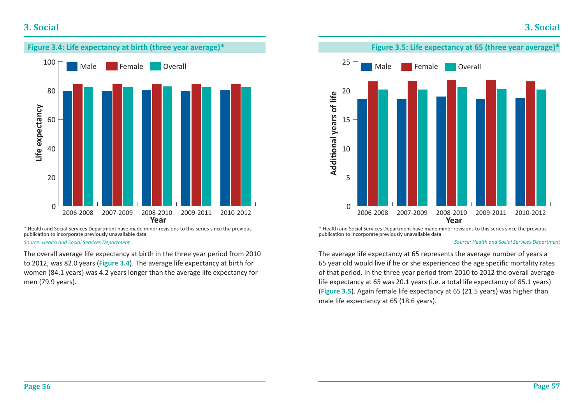### **3. Social**



\* Health and Social Services Department have made minor revisions to this series since the previous publication to incorporate previously unavailable data

#### *Source: Health and Social Services Department*

The overall average life expectancy at birth in the three year period from 2010 to 2012, was 82.0 years (**Figure 3.4**). The average life expectancy at birth for women (84.1 years) was 4.2 years longer than the average life expectancy for men (79.9 years).



\* Health and Social Services Department have made minor revisions to this series since the previous publication to incorporate previously unavailable data

#### *Source: Health and Social Services Department*

The average life expectancy at 65 represents the average number of years a 65 year old would live if he or she experienced the age specific mortality rates of that period. In the three year period from 2010 to 2012 the overall average life expectancy at 65 was 20.1 years (i.e. a total life expectancy of 85.1 years) (**Figure 3.5**). Again female life expectancy at 65 (21.5 years) was higher than male life expectancy at 65 (18.6 years).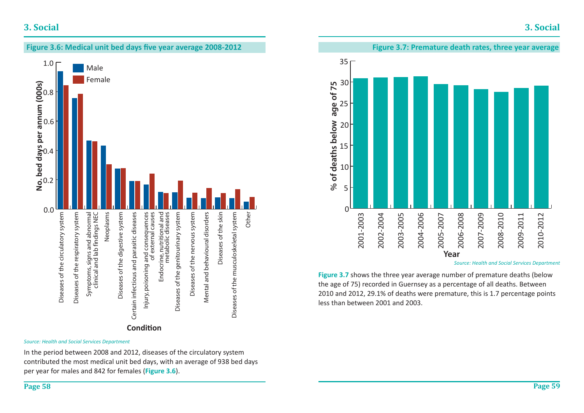### **3. Social**



*Source: Health and Social Services Department*

In the period between 2008 and 2012, diseases of the circulatory system contributed the most medical unit bed days, with an average of 938 bed days per year for males and 842 for females (**Figure 3.6**).



*Source: Health and Social Services Department*

**Figure 3.7** shows the three year average number of premature deaths (below the age of 75) recorded in Guernsey as a percentage of all deaths. Between 2010 and 2012, 29.1% of deaths were premature, this is 1.7 percentage points less than between 2001 and 2003.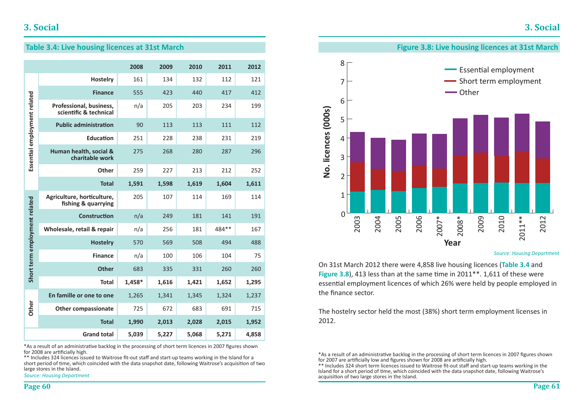### **Table 3.4: Live housing licences at 31st March**

|                               |                                                   | 2008   | 2009  | 2010  | 2011  | 2012  |
|-------------------------------|---------------------------------------------------|--------|-------|-------|-------|-------|
|                               | <b>Hostelry</b>                                   | 161    | 134   | 132   | 112   | 121   |
|                               | <b>Finance</b>                                    | 555    | 423   | 440   | 417   | 412   |
|                               | Professional, business,<br>scientific & technical | n/a    | 205   | 203   | 234   | 199   |
|                               | <b>Public administration</b>                      | 90     | 113   | 113   | 111   | 112   |
|                               | <b>Education</b>                                  | 251    | 228   | 238   | 231   | 219   |
| Essential employment related  | Human health, social &<br>charitable work         | 275    | 268   | 280   | 287   | 296   |
|                               | Other                                             | 259    | 227   | 213   | 212   | 252   |
|                               | <b>Total</b>                                      | 1,591  | 1,598 | 1,619 | 1,604 | 1,611 |
| Short term employment related | Agriculture, horticulture,<br>fishing & quarrying | 205    | 107   | 114   | 169   | 114   |
|                               | <b>Construction</b>                               | n/a    | 249   | 181   | 141   | 191   |
|                               | Wholesale, retail & repair                        | n/a    | 256   | 181   | 484** | 167   |
|                               | <b>Hostelry</b>                                   | 570    | 569   | 508   | 494   | 488   |
|                               | <b>Finance</b>                                    | n/a    | 100   | 106   | 104   | 75    |
|                               | <b>Other</b>                                      | 683    | 335   | 331   | 260   | 260   |
|                               | <b>Total</b>                                      | 1,458* | 1,616 | 1,421 | 1,652 | 1,295 |
|                               | En famille or one to one                          | 1,265  | 1,341 | 1,345 | 1,324 | 1,237 |
| Other                         | <b>Other compassionate</b>                        | 725    | 672   | 683   | 691   | 715   |
|                               | <b>Total</b>                                      | 1,990  | 2,013 | 2,028 | 2,015 | 1,952 |
|                               | <b>Grand total</b>                                | 5,039  | 5,227 | 5,068 | 5,271 | 4,858 |

\*As a result of an administrative backlog in the processing of short term licences in 2007 figures shown for 2008 are artificially high.

\*\* Includes 324 licences issued to Waitrose fit-out staff and start-up teams working in the Island for a short period of time, which coincided with the data snapshot date, following Waitrose's acquisition of two large stores in the Island.

*Source: Housing Department*



*Source: Housing Department*

On 31st March 2012 there were 4,858 live housing licences (**Table 3.4** and **Figure 3.8**), 413 less than at the same time in 2011<sup>\*\*</sup>. 1,611 of these were essential employment licences of which 26% were held by people employed in the finance sector.

The hostelry sector held the most (38%) short term employment licenses in 2012.

\*As a result of an administrative backlog in the processing of short term licences in 2007 figures shown for 2007 are artificially low and figures shown for 2008 are artificially high.

\*\* Includes 324 short term licences issued to Waitrose fit-out staff and start-up teams working in the Island for a short period of time, which coincided with the data snapshot date, following Waitrose's acquisition of two large stores in the Island.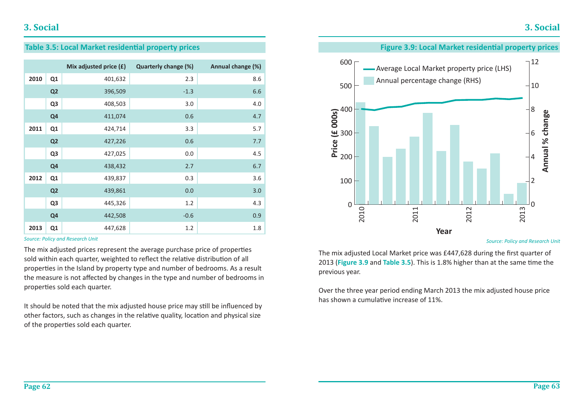### **Table 3.5: Local Market residential property prices**

|      |                | Mix adjusted price (£) | Quarterly change (%) | Annual change (%) |
|------|----------------|------------------------|----------------------|-------------------|
| 2010 | Q1             | 401,632                | 2.3                  | 8.6               |
|      | Q <sub>2</sub> | 396,509                | $-1.3$               | 6.6               |
|      | Q <sub>3</sub> | 408,503                | 3.0                  | 4.0               |
|      | Q <sub>4</sub> | 411,074                | 0.6                  | 4.7               |
| 2011 | Q <sub>1</sub> | 424,714                | 3.3                  | 5.7               |
|      | Q <sub>2</sub> | 427,226                | 0.6                  | 7.7               |
|      | Q <sub>3</sub> | 427,025                | 0.0                  | 4.5               |
|      | Q <sub>4</sub> | 438,432                | 2.7                  | 6.7               |
| 2012 | Q <sub>1</sub> | 439,837                | 0.3                  | 3.6               |
|      | Q <sub>2</sub> | 439,861                | 0.0                  | 3.0               |
|      | Q <sub>3</sub> | 445,326                | 1.2                  | 4.3               |
|      | Q <sub>4</sub> | 442,508                | $-0.6$               | 0.9               |
| 2013 | Q1             | 447,628                | 1.2                  | 1.8               |

#### *Source: Policy and Research Unit*

The mix adjusted prices represent the average purchase price of properties sold within each quarter, weighted to reflect the relative distribution of all properties in the Island by property type and number of bedrooms. As a result the measure is not affected by changes in the type and number of bedrooms in properties sold each quarter.

It should be noted that the mix adjusted house price may still be influenced by other factors, such as changes in the relative quality, location and physical size of the properties sold each quarter.

### **Figure 3.9: Local Market residential property prices**



*Source: Policy and Research Unit*

The mix adjusted Local Market price was £447,628 during the first quarter of 2013 (**Figure 3.9** and **Table 3.5**). This is 1.8% higher than at the same time the previous year.

Over the three year period ending March 2013 the mix adjusted house price has shown a cumulative increase of 11%.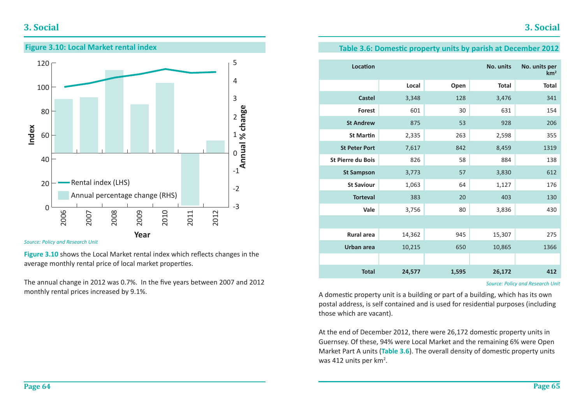## **3. Social**



*Source: Policy and Research Unit*

Figure 3.10 shows the Local Market rental index which reflects changes in the average monthly rental price of local market properties.

The annual change in 2012 was 0.7%. In the five years between 2007 and 2012 monthly rental prices increased by 9.1%.

### **Table 3.6: Domestic property units by parish at December 2012**

| <b>Location</b>          |        |       | No. units    | No. units per<br>km <sup>2</sup> |
|--------------------------|--------|-------|--------------|----------------------------------|
|                          | Local  | Open  | <b>Total</b> | <b>Total</b>                     |
| <b>Castel</b>            | 3,348  | 128   | 3,476        | 341                              |
| <b>Forest</b>            | 601    | 30    | 631          | 154                              |
| <b>St Andrew</b>         | 875    | 53    | 928          | 206                              |
| <b>St Martin</b>         | 2,335  | 263   | 2,598        | 355                              |
| <b>St Peter Port</b>     | 7,617  | 842   | 8,459        | 1319                             |
| <b>St Pierre du Bois</b> | 826    | 58    | 884          | 138                              |
| <b>St Sampson</b>        | 3,773  | 57    | 3,830        | 612                              |
| <b>St Saviour</b>        | 1,063  | 64    | 1,127        | 176                              |
| <b>Torteval</b>          | 383    | 20    | 403          | 130                              |
| Vale                     | 3,756  | 80    | 3,836        | 430                              |
|                          |        |       |              |                                  |
| <b>Rural area</b>        | 14,362 | 945   | 15,307       | 275                              |
| <b>Urban area</b>        | 10,215 | 650   | 10,865       | 1366                             |
|                          |        |       |              |                                  |
| <b>Total</b>             | 24,577 | 1,595 | 26,172       | 412                              |

A domestic property unit is a building or part of a building, which has its own postal address, is self contained and is used for residential purposes (including those which are vacant).

At the end of December 2012, there were 26,172 domestic property units in Guernsey. Of these, 94% were Local Market and the remaining 6% were Open Market Part A units (Table 3.6). The overall density of domestic property units was 412 units per km<sup>2</sup>.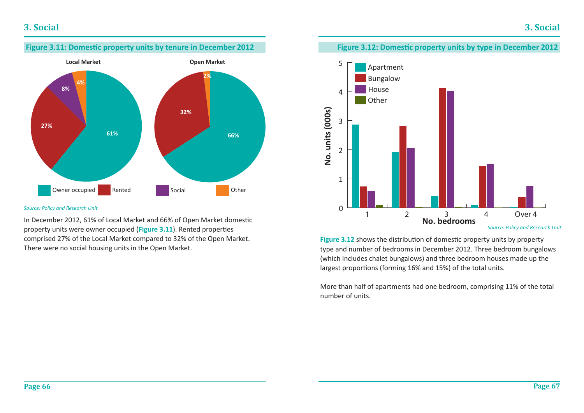

#### *Source: Policy and Research Unit*

In December 2012, 61% of Local Market and 66% of Open Market domestic property units were owner occupied (**Figure 3.11**). Rented properties comprised 27% of the Local Market compared to 32% of the Open Market. There were no social housing units in the Open Market.

### **Figure 3.12: Domestic property units by type in December 2012**



Figure 3.12 shows the distribution of domestic property units by property type and number of bedrooms in December 2012. Three bedroom bungalows (which includes chalet bungalows) and three bedroom houses made up the largest proportions (forming 16% and 15%) of the total units.

More than half of apartments had one bedroom, comprising 11% of the total number of units.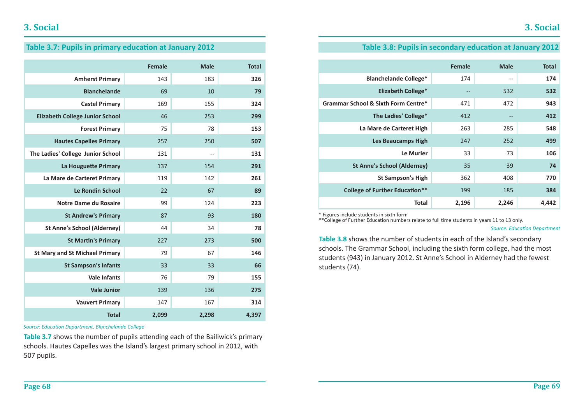### Table 3.7: Pupils in primary education at January 2012

|                                        | <b>Female</b> | <b>Male</b> | <b>Total</b> |
|----------------------------------------|---------------|-------------|--------------|
| <b>Amherst Primary</b>                 | 143           | 183         | 326          |
| <b>Blanchelande</b>                    | 69            | 10          | 79           |
| <b>Castel Primary</b>                  | 169           | 155         | 324          |
| <b>Elizabeth College Junior School</b> | 46            | 253         | 299          |
| <b>Forest Primary</b>                  | 75            | 78          | 153          |
| <b>Hautes Capelles Primary</b>         | 257           | 250         | 507          |
| The Ladies' College Junior School      | 131           | $-$         | 131          |
| La Houguette Primary                   | 137           | 154         | 291          |
| La Mare de Carteret Primary            | 119           | 142         | 261          |
| <b>Le Rondin School</b>                | 22            | 67          | 89           |
| Notre Dame du Rosaire                  | 99            | 124         | 223          |
| <b>St Andrew's Primary</b>             | 87            | 93          | 180          |
| <b>St Anne's School (Alderney)</b>     | 44            | 34          | 78           |
| <b>St Martin's Primary</b>             | 227           | 273         | 500          |
| <b>St Mary and St Michael Primary</b>  | 79            | 67          | 146          |
| <b>St Sampson's Infants</b>            | 33            | 33          | 66           |
| <b>Vale Infants</b>                    | 76            | 79          | 155          |
| <b>Vale Junior</b>                     | 139           | 136         | 275          |
| <b>Vauvert Primary</b>                 | 147           | 167         | 314          |
| <b>Total</b>                           | 2,099         | 2,298       | 4,397        |

*Source: EducaƟ on Department, Blanchelande College*

Table 3.7 shows the number of pupils attending each of the Bailiwick's primary schools. Hautes Capelles was the Island's largest primary school in 2012, with 507 pupils.

### **Table 3.8: Pupils in secondary education at January 2012**

|                                                | <b>Female</b> | <b>Male</b> | <b>Total</b> |
|------------------------------------------------|---------------|-------------|--------------|
| <b>Blanchelande College*</b>                   | 174           | $-$         | 174          |
| <b>Elizabeth College*</b>                      | $-$           | 532         | 532          |
| <b>Grammar School &amp; Sixth Form Centre*</b> | 471           | 472         | 943          |
| The Ladies' College*                           | 412           | $- -$       | 412          |
| La Mare de Carteret High                       | 263           | 285         | 548          |
| <b>Les Beaucamps High</b>                      | 247           | 252         | 499          |
| Le Murier                                      | 33            | 73          | 106          |
| <b>St Anne's School (Alderney)</b>             | 35            | 39          | 74           |
| <b>St Sampson's High</b>                       | 362           | 408         | 770          |
| <b>College of Further Education**</b>          | 199           | 185         | 384          |
| <b>Total</b>                                   | 2,196         | 2,246       | 4,442        |

\* Figures include students in sixth form

\*\*College of Further Education numbers relate to full time students in years 11 to 13 only.

#### **Source: Education Department**

**Table 3.8** shows the number of students in each of the Island's secondary schools. The Grammar School, including the sixth form college, had the most students (943) in January 2012. St Anne's School in Alderney had the fewest students (74).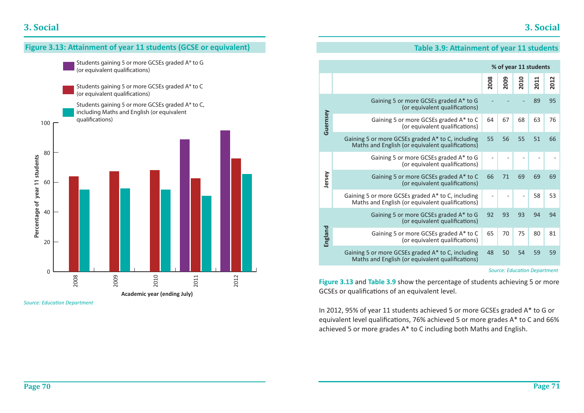

*Source: EducaƟ on Department*

### **Table 3.9: Attainment of year 11 students**

|          |                                                                                                       |      | % of year 11 students |      |      |      |
|----------|-------------------------------------------------------------------------------------------------------|------|-----------------------|------|------|------|
|          |                                                                                                       | 2008 | 2009                  | 2010 | 2011 | 2012 |
|          | Gaining 5 or more GCSEs graded A* to G<br>(or equivalent qualifications)                              |      |                       |      | 89   | 95   |
| Guernsey | Gaining 5 or more GCSEs graded A* to C<br>(or equivalent qualifications)                              | 64   | 67                    | 68   | 63   | 76   |
|          | Gaining 5 or more GCSEs graded A* to C, including<br>Maths and English (or equivalent qualifications) | 55   | 56                    | 55   | 51   | 66   |
|          | Gaining 5 or more GCSEs graded A* to G<br>(or equivalent qualifications)                              |      |                       |      |      |      |
| Jersey   | Gaining 5 or more GCSEs graded A* to C<br>(or equivalent qualifications)                              | 66   | 71                    | 69   | 69   | 69   |
|          | Gaining 5 or more GCSEs graded A* to C, including<br>Maths and English (or equivalent qualifications) |      |                       |      | 58   | 53   |
|          | Gaining 5 or more GCSEs graded A* to G<br>(or equivalent qualifications)                              | 92   | 93                    | 93   | 94   | 94   |
| England  | Gaining 5 or more GCSEs graded A* to C<br>(or equivalent qualifications)                              | 65   | 70                    | 75   | 80   | 81   |
|          | Gaining 5 or more GCSEs graded A* to C, including<br>Maths and English (or equivalent qualifications) | 48   | 50                    | 54   | 59   | 59   |

#### *Source: EducaƟ on Department*

**Figure 3.13** and **Table 3.9** show the percentage of students achieving 5 or more GCSEs or qualifications of an equivalent level.

In 2012, 95% of year 11 students achieved 5 or more GCSEs graded A\* to G or equivalent level qualifications, 76% achieved 5 or more grades A\* to C and 66% achieved 5 or more grades A\* to C including both Maths and English.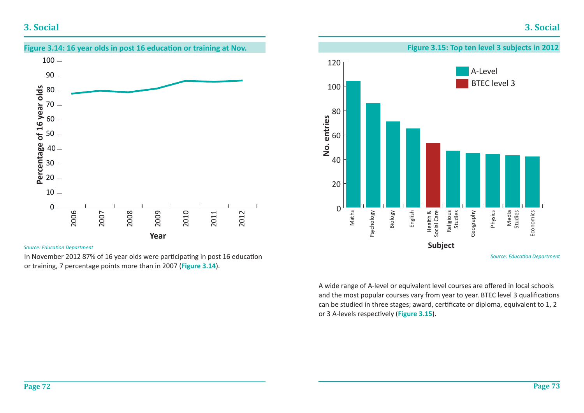### **3. Social**



#### *Source: EducaƟ on Department*

In November 2012 87% of 16 year olds were participating in post 16 education or training, 7 percentage points more than in 2007 (**Figure 3.14**).



A wide range of A-level or equivalent level courses are offered in local schools and the most popular courses vary from year to year. BTEC level 3 qualifications can be studied in three stages; award, certificate or diploma, equivalent to 1, 2 or 3 A-levels respectively (Figure 3.15).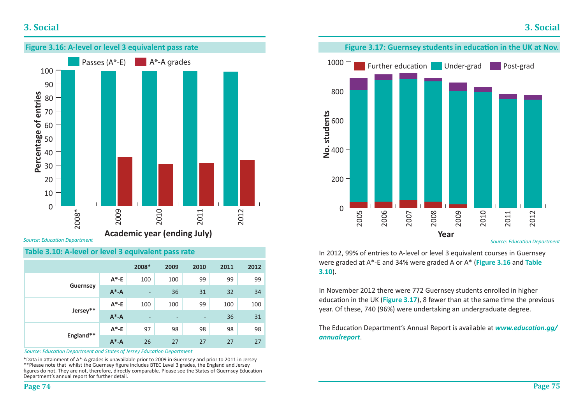### **3. Social**



*Source: EducaƟ on Department*

### **Table 3.10: A-level or level 3 equivalent pass rate**

|                 |           | 2008*                    | 2009            | 2010                         | 2011 | 2012 |
|-----------------|-----------|--------------------------|-----------------|------------------------------|------|------|
|                 | $A^*$ -E  | 100                      | 100             | 99                           | 99   | 99   |
| <b>Guernsey</b> | $A^* - A$ | $\overline{\phantom{a}}$ | 36              | 31                           | 32   | 34   |
|                 | $A^*$ -E  | 100                      | 100             | 99                           | 100  | 100  |
| Jersey**        | $A^* - A$ | $\overline{\phantom{a}}$ | $\qquad \qquad$ | $\qquad \qquad \blacksquare$ | 36   | 31   |
|                 | $A^*$ -E  | 97                       | 98              | 98                           | 98   | 98   |
| England**       | $A^* - A$ | 26                       | 27              | 27                           | 27   | 27   |

*Source: EducaƟ on Department and States of Jersey EducaƟ on Department*

\*Data in aƩ ainment of A\*-A grades is unavailable prior to 2009 in Guernsey and prior to 2011 in Jersey \*\* Please note that whilst the Guernsey figure includes BTEC Level 3 grades, the England and Jersey figures do not. They are not, therefore, directly comparable. Please see the States of Guernsey Education Department's annual report for further detail.



*Source: EducaƟ on Department*

In 2012, 99% of entries to A-level or level 3 equivalent courses in Guernsey were graded at A\*-E and 34% were graded A or A\* (**Figure 3.16** and **Table 3.10**).

In November 2012 there were 772 Guernsey students enrolled in higher education in the UK (**Figure 3.17**), 8 fewer than at the same time the previous year. Of these, 740 (96%) were undertaking an undergraduate degree.

The Education Department's Annual Report is available at *www.education.gg/ annualreport*.

**Page 75**

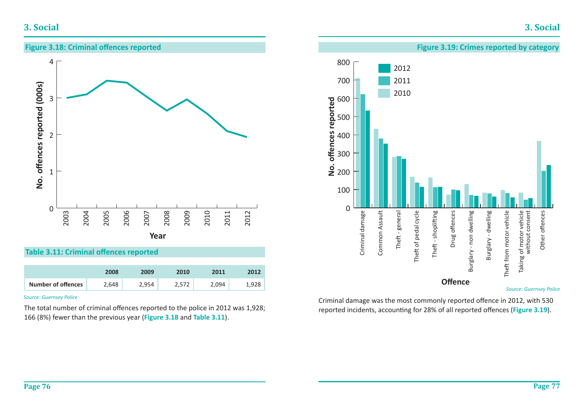**Figure 3.19: Crimes reported by category**





2012 2011 2010

500

600

700

800

#### *Source: Guernsey Police*

Other offences

Other offences

Criminal damage was the most commonly reported offence in 2012, with 530 reported incidents, accounting for 28% of all reported offences (Figure 3.19).

**Table 3.11: Criminal offences reported** 

|                           | 2008  | 2009  | 2010  | 2011  | 2012  |
|---------------------------|-------|-------|-------|-------|-------|
| <b>Number of offences</b> | 2.648 | 2.954 | 2.572 | 2.094 | 1,928 |

#### *Source: Guernsey Police*

The total number of criminal offences reported to the police in 2012 was 1,928; 166 (8%) fewer than the previous year (**Figure 3.18** and **Table 3.11**).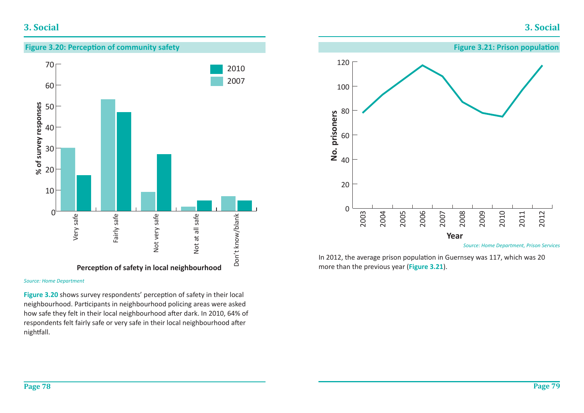### **3. Social**

## **Figure 3.20: Perception of community safety** 70 20102007 60 % of survey responses  $%$  of survey responses 50 4030 2010  $\Omega$ Very safe Very safe<br>
Fairly safe<br>
Fairly safe<br>
Not very safe<br>
Not at all safe<br>
Not at all safe<br>
Don't know/blank<br>
Don't know/blank Fairly safe Not very safe Not at all safe

*Source: Home Department*

Figure 3.20 shows survey respondents' perception of safety in their local neighbourhood. Participants in neighbourhood policing areas were asked how safe they felt in their local neighbourhood after dark. In 2010, 64% of respondents felt fairly safe or very safe in their local neighbourhood after nightfall.



In 2012, the average prison population in Guernsey was 117, which was 20 more than the previous year (**Figure 3.21**).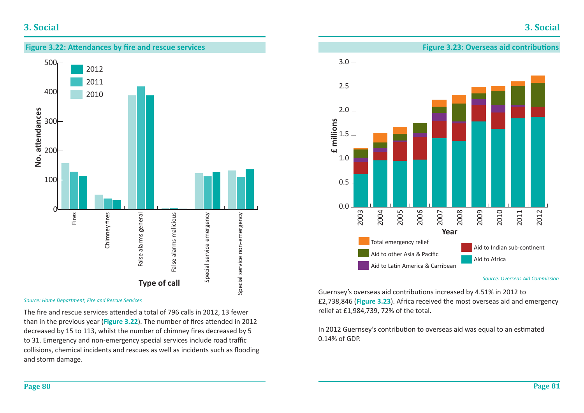## **3. Social**





*Source: Home Department, Fire and Rescue Services*

The fire and rescue services attended a total of 796 calls in 2012, 13 fewer than in the previous year (Figure 3.22). The number of fires attended in 2012 decreased by 15 to 113, whilst the number of chimney fires decreased by 5 to 31. Emergency and non-emergency special services include road traffi<sup>c</sup> collisions, chemical incidents and rescues as well as incidents such as flooding and storm damage.



*Source: Overseas Aid Commission*

Guernsey's overseas aid contributions increased by 4.51% in 2012 to £2,738,846 (**Figure 3.23**). Africa received the most overseas aid and emergency relief at £1,984,739, 72% of the total.

In 2012 Guernsey's contribution to overseas aid was equal to an estimated 0.14% of GDP.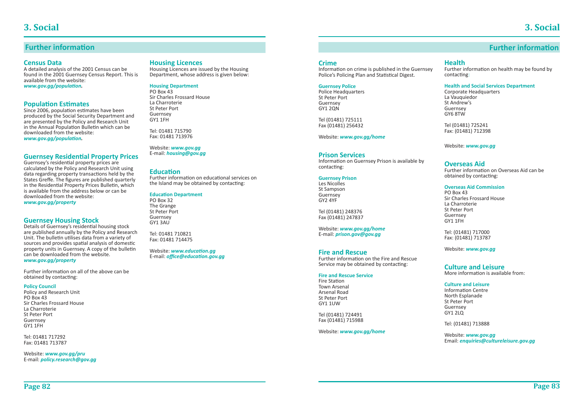**Further information** 

### **Further information**

#### **Census Data**

A detailed analysis of the 2001 Census can be found in the 2001 Guernsey Census Report. This is available from the website: *www.gov.gg/population.* 

#### **Population Estimates**

Since 2006, population estimates have been produced by the Social Security Department and are presented by the Policy and Research Unit in the Annual Population Bulletin which can be downloaded from the website: *www.gov.gg/population.* 

#### **Guernsey Residential Property Prices**

Guernsey's residential property prices are calculated by the Policy and Research Unit using data regarding property transactions held by the States Greffe. The figures are published quarterly in the Residential Property Prices Bulletin, which is available from the address below or can be downloaded from the website: *www.gov.gg/property*

#### **Guernsey Housing Stock**

Details of Guernsey's residential housing stock are published annually by the Policy and Research Unit. The bulletin utilises data from a variety of sources and provides spatial analysis of domestic property units in Guernsey. A copy of the bulletin can be downloaded from the website.*www.gov.gg/property* 

Further information on all of the above can be obtained by contacting:

#### **Policy Council**

Policy and Research Unit PO Box 43 Sir Charles Frossard HouseLa Charroterie St Peter Port Guernsey GY1 1FH

Tel: 01481 717292 Fax: 01481 713787

Website: *www.gov.gg/pru* E-mail: *policy.research@gov.gg*

#### **Housing Licences**

Housing Licences are issued by the Housing Department, whose address is given below:

#### **Housing Department**

PO Box 43Sir Charles Frossard HouseLa Charroterie St Peter PortGuernsey GY1 1FH

Tel: 01481 715790Fax: 01481 713976

Website: *www.gov.gg* E-mail: *housing@gov.gg*

#### **EducaƟ on**

Further information on educational services on the Island may be obtained by contacting:

#### **EducaƟ on Department**

PO Box 32The Grange St Peter PortGuernsey GY1 3AU

Tel: 01481 710821Fax: 01481 714475

Website: www.education.aa E-mail: *office@education.gov.gg* 

#### **Crime**

Information on crime is published in the Guernsey Police's Policing Plan and Statistical Digest.

#### **Guernsey Police**

Police Headquarters St Peter PortGuernsey GY1 2QN

Tel (01481) 725111 Fax (01481) 256432

Website: *www.gov.gg/home*

#### **Prison Services**

Information on Guernsey Prison is available by contacting:

#### **Guernsey Prison**

Les Nicolles St Sampson **Guernsey** GY2 4YF

Tel (01481) 248376 Fax (01481) 247837

Website: *www.gov.gg/home* E-mail: *prison.gov@gov.gg*

#### **Fire and Rescue**

Further information on the Fire and Rescue Service may be obtained by contacting:

#### **Fire and Rescue Service**

Fire Station Town Arsenal Arsenal Road St Peter Port GY1 1UW

Tel (01481) 724491 Fax (01481) 715988

Website: *www.gov.gg/home*

#### **Health**

Further information on health may be found by contacting:

#### **Health and Social Services Department**

Corporate Headquarters La Vauquiedor St Andrew'sGuernsey GY6 8TW

Tel (01481) 725241 Fax: (01481) 712398

Website: *www.gov.gg*

#### **Overseas Aid**

Further information on Overseas Aid can be obtained by contacting:

#### **Overseas Aid Commission**

PO Box 43Sir Charles Frossard HouseLa Charroterie St Peter PortGuernsey GY1 1FH

Tel: (01481) 717000 Fax: (01481) 713787

Website: *www.gov.gg*

**Culture and Leisure**More information is available from:

#### **Culture and Leisure**

**Information Centre** North Esplanade St Peter PortGuernsey GY1 2LQ

Tel: (01481) 713888

Website: *www.gov.gg* Email: *enquiries@cultureleisure.gov.gg*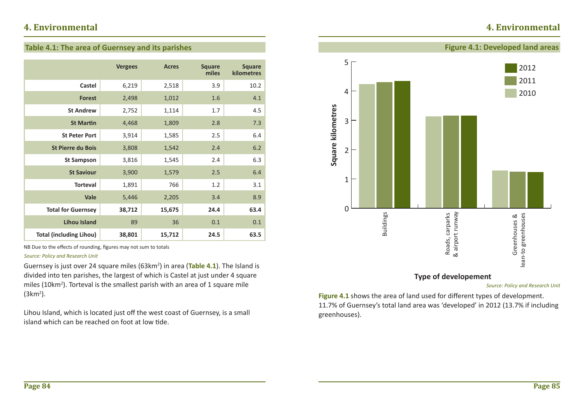## **4. Environmental**

### **Table 4.1: The area of Guernsey and its parishes**

|                                | <b>Vergees</b> | <b>Acres</b> | <b>Square</b><br>miles | <b>Square</b><br>kilometres |
|--------------------------------|----------------|--------------|------------------------|-----------------------------|
| Castel                         | 6,219          | 2,518        | 3.9                    | 10.2                        |
| <b>Forest</b>                  | 2,498          | 1,012        | 1.6                    | 4.1                         |
| <b>St Andrew</b>               | 2,752          | 1,114        | 1.7                    | 4.5                         |
| <b>St Martin</b>               | 4,468          | 1,809        | 2.8                    | 7.3                         |
| <b>St Peter Port</b>           | 3,914          | 1,585        | 2.5                    | 6.4                         |
| <b>St Pierre du Bois</b>       | 3,808          | 1,542        | 2.4                    | 6.2                         |
| <b>St Sampson</b>              | 3,816          | 1,545        | 2.4                    | 6.3                         |
| <b>St Saviour</b>              | 3,900          | 1,579        | 2.5                    | 6.4                         |
| <b>Torteval</b>                | 1,891          | 766          | 1.2                    | 3.1                         |
| Vale                           | 5,446          | 2,205        | 3.4                    | 8.9                         |
| <b>Total for Guernsey</b>      | 38,712         | 15,675       | 24.4                   | 63.4                        |
| <b>Lihou Island</b>            | 89             | 36           | 0.1                    | 0.1                         |
| <b>Total (including Lihou)</b> | 38,801         | 15,712       | 24.5                   | 63.5                        |

NB Due to the effects of rounding, figures may not sum to totals

#### *Source: Policy and Research Unit*

Guernsey is just over 24 square miles (63km2) in area (**Table 4.1**). The Island is divided into ten parishes, the largest of which is Castel at just under 4 square miles (10km<sup>2</sup>). Torteval is the smallest parish with an area of 1 square mile  $(3km<sup>2</sup>)$ .

Lihou Island, which is located just off the west coast of Guernsey, is a small island which can be reached on foot at low tide.



### **Type of developement**

*Source: Policy and Research Unit*

Figure 4.1 shows the area of land used for different types of development. 11.7% of Guernsey's total land area was 'developed' in 2012 (13.7% if including greenhouses).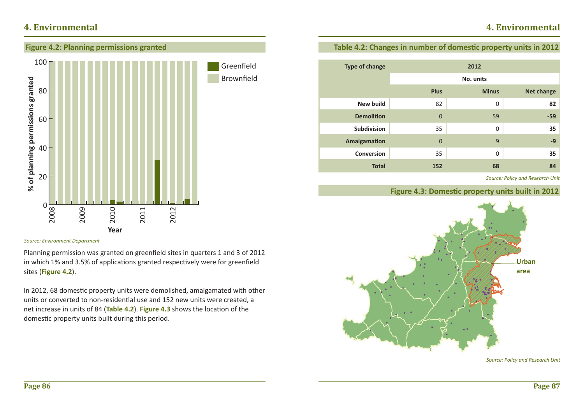## **4. Environmental**



#### *Source: Environment Department*

Planning permission was granted on greenfield sites in quarters 1 and 3 of 2012 in which 1% and 3.5% of applications granted respectively were for greenfield sites (**Figure 4.2**).

In 2012, 68 domestic property units were demolished, amalgamated with other units or converted to non-residential use and 152 new units were created, a net increase in units of 84 (Table 4.2). Figure 4.3 shows the location of the domestic property units built during this period.

### **Table 4.2: Changes in number of domestic property units in 2012**

| <b>Type of change</b> |                | 2012           |            |  |
|-----------------------|----------------|----------------|------------|--|
|                       | No. units      |                |            |  |
|                       | <b>Plus</b>    | <b>Minus</b>   | Net change |  |
| <b>New build</b>      | 82             | $\overline{0}$ | 82         |  |
| <b>Demolition</b>     | $\overline{0}$ | 59             | $-59$      |  |
| <b>Subdivision</b>    | 35             | $\mathbf 0$    | 35         |  |
| <b>Amalgamation</b>   | $\overline{0}$ | 9              | $-9$       |  |
| <b>Conversion</b>     | 35             | $\Omega$       | 35         |  |
| <b>Total</b>          | 152            | 68             | 84         |  |

*Source: Policy and Research Unit*

### **Figure 4.3: Domestic property units built in 2012**



*Source: Policy and Research Unit*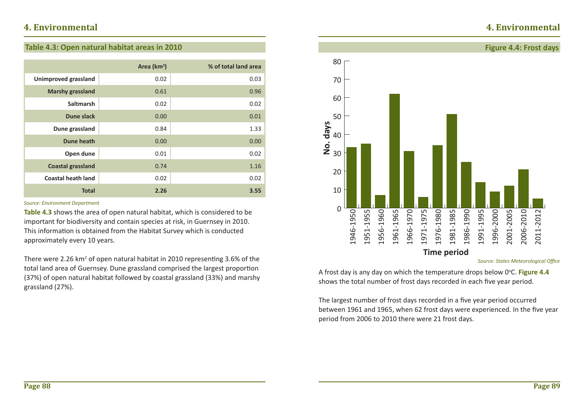## **4. Environmental**

### **Table 4.3: Open natural habitat areas in 2010**

|                             | Area (km <sup>2</sup> ) | % of total land area |
|-----------------------------|-------------------------|----------------------|
| <b>Unimproved grassland</b> | 0.02                    | 0.03                 |
| <b>Marshy grassland</b>     | 0.61                    | 0.96                 |
| <b>Saltmarsh</b>            | 0.02                    | 0.02                 |
| <b>Dune slack</b>           | 0.00                    | 0.01                 |
| Dune grassland              | 0.84                    | 1.33                 |
| Dune heath                  | 0.00                    | 0.00                 |
| Open dune                   | 0.01                    | 0.02                 |
| <b>Coastal grassland</b>    | 0.74                    | 1.16                 |
| <b>Coastal heath land</b>   | 0.02                    | 0.02                 |
| <b>Total</b>                | 2.26                    | 3.55                 |

#### *Source: Environment Department*

**Table 4.3** shows the area of open natural habitat, which is considered to be important for biodiversity and contain species at risk, in Guernsey in 2010. This information is obtained from the Habitat Survey which is conducted approximately every 10 years.

There were 2.26 km<sup>2</sup> of open natural habitat in 2010 representing 3.6% of the total land area of Guernsey. Dune grassland comprised the largest proportion (37%) of open natural habitat followed by coastal grassland (33%) and marshy grassland (27%).



**Source: States Meteorological Office** 

A frost day is any day on which the temperature drops below 0°C. Figure 4.4 shows the total number of frost days recorded in each five year period.

The largest number of frost days recorded in a five year period occurred between 1961 and 1965, when 62 frost days were experienced. In the five year period from 2006 to 2010 there were 21 frost days.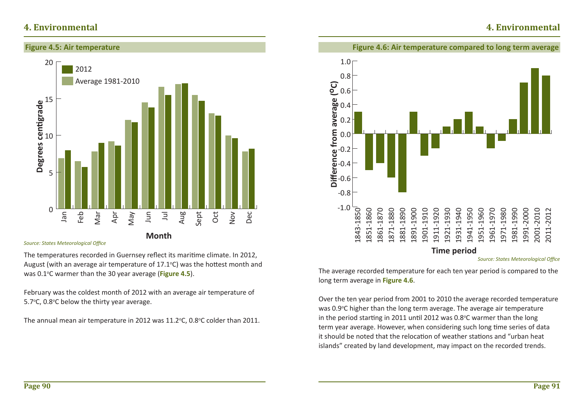### **Figure 4.5: Air temperature**



**Source: States Meteorological Office** 

The temperatures recorded in Guernsey reflect its maritime climate. In 2012, August (with an average air temperature of  $17.1^{\circ}$ C) was the hottest month and was 0.1<sup>o</sup>C warmer than the 30 year average (**Figure 4.5**).

February was the coldest month of 2012 with an average air temperature of 5.7 $\degree$ C, 0.8 $\degree$ C below the thirty year average.

The annual mean air temperature in 2012 was 11.2 $\degree$ C, 0.8 $\degree$ C colder than 2011.



The average recorded temperature for each ten year period is compared to the long term average in **Figure 4.6**.

Over the ten year period from 2001 to 2010 the average recorded temperature was 0.9°C higher than the long term average. The average air temperature in the period starting in 2011 until 2012 was  $0.8^{\circ}$ C warmer than the long term year average. However, when considering such long time series of data it should be noted that the relocation of weather stations and "urban heat islands" created by land development, may impact on the recorded trends.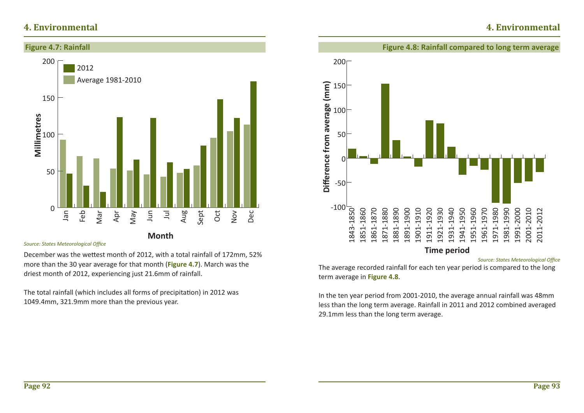

**Month**

*Source: States Meteorological Offi ce*

December was the wettest month of 2012, with a total rainfall of 172mm, 52% more than the 30 year average for that month (**Figure 4.7**). March was the driest month of 2012, experiencing just 21.6mm of rainfall.

The total rainfall (which includes all forms of precipitation) in 2012 was 1049.4mm, 321.9mm more than the previous year.



**Source: States Meteorological Office** 

The average recorded rainfall for each ten year period is compared to the long term average in **Figure 4.8**.

In the ten year period from 2001-2010, the average annual rainfall was 48mm less than the long term average. Rainfall in 2011 and 2012 combined averaged 29.1mm less than the long term average.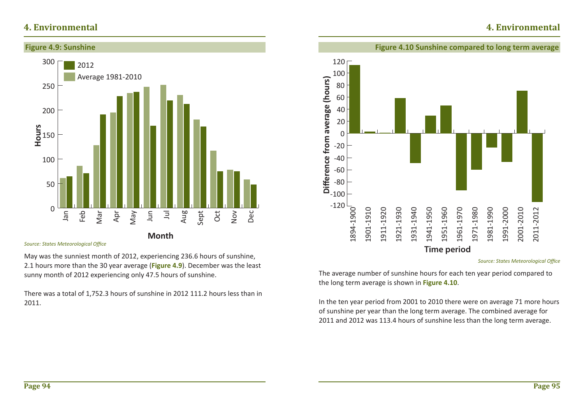

**Month**

**Source: States Meteorological Office** 

May was the sunniest month of 2012, experiencing 236.6 hours of sunshine, 2.1 hours more than the 30 year average (**Figure 4.9**). December was the least sunny month of 2012 experiencing only 47.5 hours of sunshine.

There was a total of 1,752.3 hours of sunshine in 2012 111.2 hours less than in 2011.



### **Figure 4.10 Sunshine compared to long term average**

**Source: States Meteorological Office** 

**4. Environmental**

The average number of sunshine hours for each ten year period compared to the long term average is shown in **Figure 4.10**.

**Time period**

In the ten year period from 2001 to 2010 there were on average 71 more hours of sunshine per year than the long term average. The combined average for 2011 and 2012 was 113.4 hours of sunshine less than the long term average.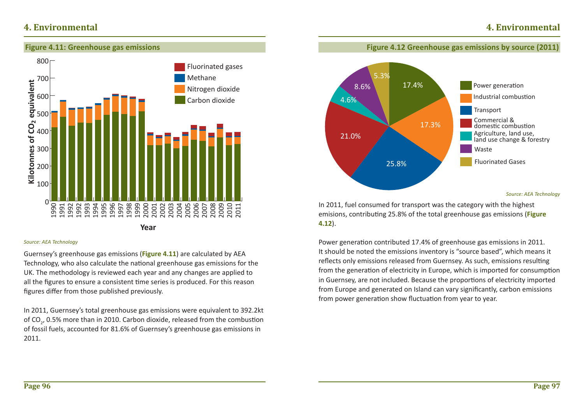

#### *Source: AEA Technology*

Guernsey's greenhouse gas emissions (**Figure 4.11**) are calculated by AEA Technology, who also calculate the national greenhouse gas emissions for the UK. The methodology is reviewed each year and any changes are applied to all the figures to ensure a consistent time series is produced. For this reason figures differ from those published previously.

In 2011, Guernsey's total greenhouse gas emissions were equivalent to 392.2kt of  $CO<sub>2</sub>$ , 0.5% more than in 2010. Carbon dioxide, released from the combustion of fossil fuels, accounted for 81.6% of Guernsey's greenhouse gas emissions in 2011.



**Figure 4.12 Greenhouse gas emissions by source (2011)**

In 2011, fuel consumed for transport was the category with the highest emisions, contributing 25.8% of the total greenhouse gas emissions (Figure **4.12**).

Power generation contributed 17.4% of greenhouse gas emissions in 2011. It should be noted the emissions inventory is "source based", which means it reflects only emissions released from Guernsey. As such, emissions resulting from the generation of electricity in Europe, which is imported for consumption in Guernsey, are not included. Because the proportions of electricity imported from Europe and generated on Island can vary significantly, carbon emissions from power generation show fluctuation from year to year.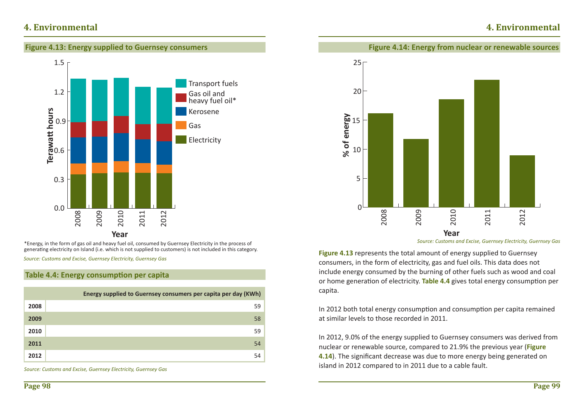## **4. Environmental**





\*Energy, in the form of gas oil and heavy fuel oil, consumed by Guernsey Electricity in the process of generating electricity on Island (i.e. which is not supplied to customers) is not included in this category.

*Source: Customs and Excise, Guernsey Electricity, Guernsey Gas*

### **Table 4.4: Energy consumption per capita**

|      | Energy supplied to Guernsey consumers per capita per day (KWh) |
|------|----------------------------------------------------------------|
| 2008 | 59                                                             |
| 2009 | 58                                                             |
| 2010 | 59                                                             |
| 2011 | 54                                                             |
| 2012 | 54                                                             |

*Source: Customs and Excise, Guernsey Electricity, Guernsey Gas*



**Figure 4.14: Energy from nuclear or renewable sources**

*Source: Customs and Excise, Guernsey Electricity, Guernsey Gas*

**Figure 4.13** represents the total amount of energy supplied to Guernsey consumers, in the form of electricity, gas and fuel oils. This data does not include energy consumed by the burning of other fuels such as wood and coal or home generation of electricity. **Table 4.4** gives total energy consumption per capita.

In 2012 both total energy consumption and consumption per capita remained at similar levels to those recorded in 2011.

In 2012, 9.0% of the energy supplied to Guernsey consumers was derived from nuclear or renewable source, compared to 21.9% the previous year (**Figure**  4.14). The significant decrease was due to more energy being generated on island in 2012 compared to in 2011 due to a cable fault.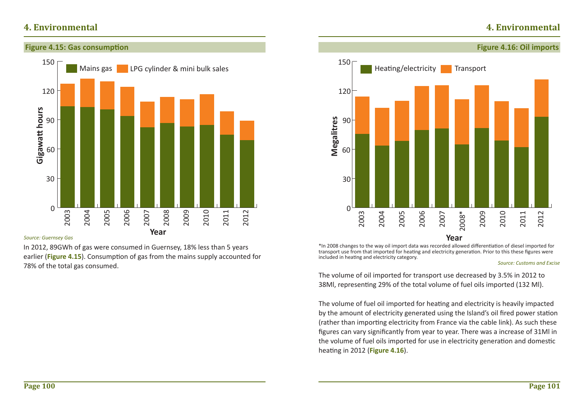## **4. Environmental**



#### *Source: Guernsey Gas*

In 2012, 89GWh of gas were consumed in Guernsey, 18% less than 5 years earlier (Figure 4.15). Consumption of gas from the mains supply accounted for 78% of the total gas consumed.



\*In 2008 changes to the way oil import data was recorded allowed differentiation of diesel imported for transport use from that imported for heating and electricity generation. Prior to this these figures were included in heating and electricity category.

#### *Source: Customs and Excise*

The volume of oil imported for transport use decreased by 3.5% in 2012 to 38Ml, representing 29% of the total volume of fuel oils imported (132 Ml).

The volume of fuel oil imported for heating and electricity is heavily impacted by the amount of electricity generated using the Island's oil fired power station (rather than importing electricity from France via the cable link). As such these figures can vary significantly from year to year. There was a increase of 31Ml in the volume of fuel oils imported for use in electricity generation and domestic heating in 2012 (**Figure 4.16**).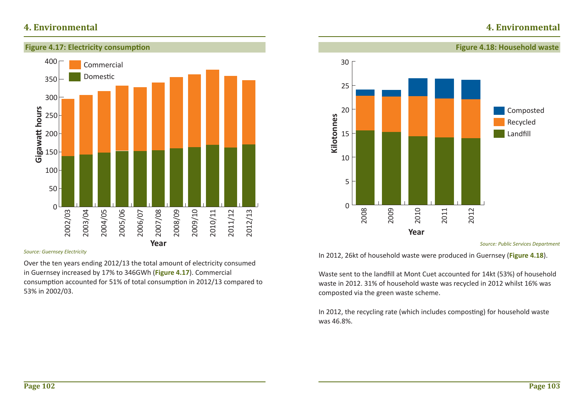



#### *Source: Guernsey Electricity*

Over the ten years ending 2012/13 the total amount of electricity consumed in Guernsey increased by 17% to 346GWh (**Figure 4.17**). Commercial consumption accounted for 51% of total consumption in 2012/13 compared to 53% in 2002/03.



*Source: Public Services Department*

In 2012, 26kt of household waste were produced in Guernsey (**Figure 4.18**).

Waste sent to the landfill at Mont Cuet accounted for 14kt (53%) of household waste in 2012. 31% of household waste was recycled in 2012 whilst 16% was composted via the green waste scheme.

In 2012, the recycling rate (which includes composting) for household waste was 46.8%.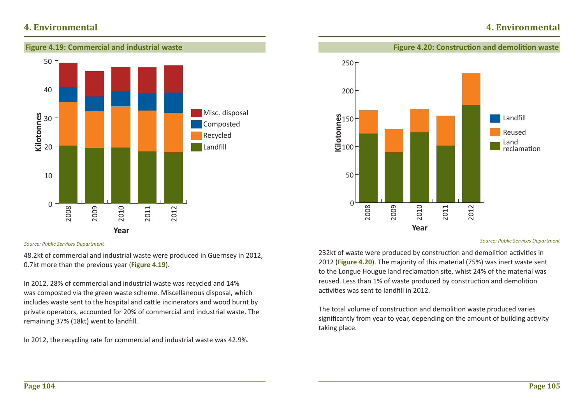

## **Figure 4.20: Construction and demolition waste**

**4. Environmental**



*Source: Public Services Department*

232kt of waste were produced by construction and demolition activities in 2012 (**Figure 4.20**). The majority of this material (75%) was inert waste sent to the Longue Hougue land reclamation site, whist 24% of the material was reused. Less than 1% of waste produced by construction and demolition activities was sent to landfill in 2012.

The total volume of construction and demolition waste produced varies significantly from year to year, depending on the amount of building activity taking place.

#### *Source: Public Services Department*

48.2kt of commercial and industrial waste were produced in Guernsey in 2012, 0.7kt more than the previous year (**Figure 4.19**).

In 2012, 28% of commercial and industrial waste was recycled and 14% was composted via the green waste scheme. Miscellaneous disposal, which includes waste sent to the hospital and cattle incinerators and wood burnt by private operators, accounted for 20% of commercial and industrial waste. The remaining 37% (18kt) went to landfill.

In 2012, the recycling rate for commercial and industrial waste was 42.9%.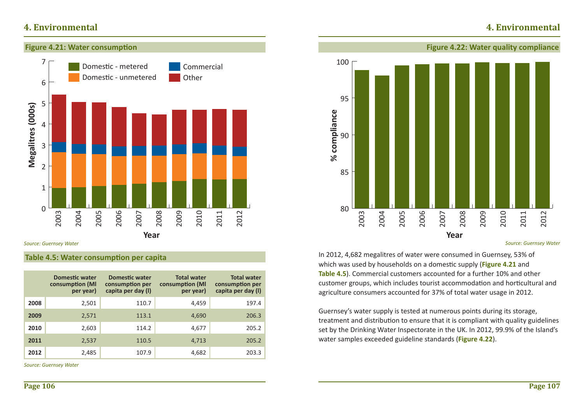## **4. Environmental**



*Source: Guernsey Water*

### **Table 4.5: Water consumption per capita**

|      | <b>Domestic water</b><br>consumption (MI<br>per year) | <b>Domestic water</b><br>consumption per<br>capita per day (I) | <b>Total water</b><br>consumption (MI<br>per year) | <b>Total water</b><br>consumption per<br>capita per day (I) |
|------|-------------------------------------------------------|----------------------------------------------------------------|----------------------------------------------------|-------------------------------------------------------------|
| 2008 | 2,501                                                 | 110.7                                                          | 4,459                                              | 197.4                                                       |
| 2009 | 2,571                                                 | 113.1                                                          | 4,690                                              | 206.3                                                       |
| 2010 | 2,603                                                 | 114.2                                                          | 4,677                                              | 205.2                                                       |
| 2011 | 2,537                                                 | 110.5                                                          | 4,713                                              | 205.2                                                       |
| 2012 | 2,485                                                 | 107.9                                                          | 4,682                                              | 203.3                                                       |

*Source: Guernsey Water*



*Source: Guernsey Water*

In 2012, 4,682 megalitres of water were consumed in Guernsey, 53% of which was used by households on a domestic supply (Figure 4.21 and **Table 4.5**). Commercial customers accounted for a further 10% and other customer groups, which includes tourist accommodation and horticultural and agriculture consumers accounted for 37% of total water usage in 2012.

Guernsey's water supply is tested at numerous points during its storage, treatment and distribution to ensure that it is compliant with quality guidelines set by the Drinking Water Inspectorate in the UK. In 2012, 99.9% of the Island's water samples exceeded guideline standards (**Figure 4.22**).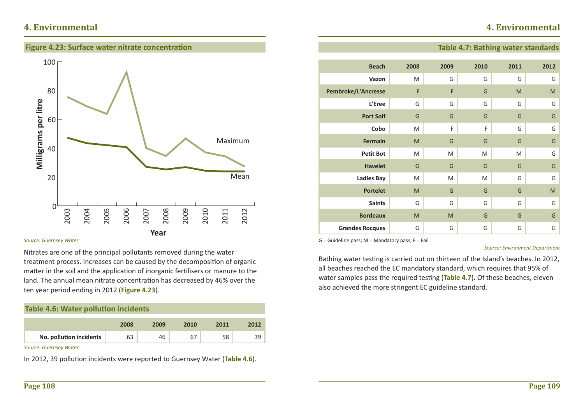## **4. Environmental**

### **Figure 4.23: Surface water nitrate concentration**



#### *Source: Guernsey Water*

Nitrates are one of the principal pollutants removed during the water treatment process. Increases can be caused by the decomposition of organic matter in the soil and the application of inorganic fertilisers or manure to the land. The annual mean nitrate concentration has decreased by 46% over the ten year period ending in 2012 (**Figure 4.23**).

| <b>Table 4.6: Water pollution incidents</b> |             |             |      |
|---------------------------------------------|-------------|-------------|------|
|                                             |             |             |      |
|                                             | <b>COOO</b> | <b>COOO</b> | 2010 |

| No. pollution incidents |  |  |  |
|-------------------------|--|--|--|

*Source: Guernsey Water*

In 2012, 39 pollution incidents were reported to Guernsey Water (Table 4.6).

### **Table 4.7: Bathing water standards**

| <b>Beach</b>           | 2008 | 2009 | 2010 | 2011 | 2012 |
|------------------------|------|------|------|------|------|
| Vazon                  | M    | G    | G    | G    | G    |
| Pembroke/L'Ancresse    | F    | F    | G    | M    | M    |
| L'Eree                 | G    | G    | G    | G    | G    |
| <b>Port Soif</b>       | G    | G    | G    | G    | G    |
| Cobo                   | M    | F    | F    | G    | G    |
| <b>Fermain</b>         | M    | G    | G    | G    | G    |
| <b>Petit Bot</b>       | M    | M    | M    | M    | G    |
| <b>Havelet</b>         | G    | G    | G    | G    | G    |
| <b>Ladies Bay</b>      | M    | M    | M    | G    | G    |
| <b>Portelet</b>        | M    | G    | G    | G    | M    |
| <b>Saints</b>          | G    | G    | G    | G    | G    |
| <b>Bordeaux</b>        | M    | M    | G    | G    | G    |
| <b>Grandes Rocques</b> | G    | G    | G    | G    | G    |

 $G =$  Guideline pass; M = Mandatory pass; F = Fail

*Source: Environment Department*

Bathing water testing is carried out on thirteen of the Island's beaches. In 2012, all beaches reached the EC mandatory standard, which requires that 95% of water samples pass the required testing (Table 4.7). Of these beaches, eleven also achieved the more stringent EC guideline standard.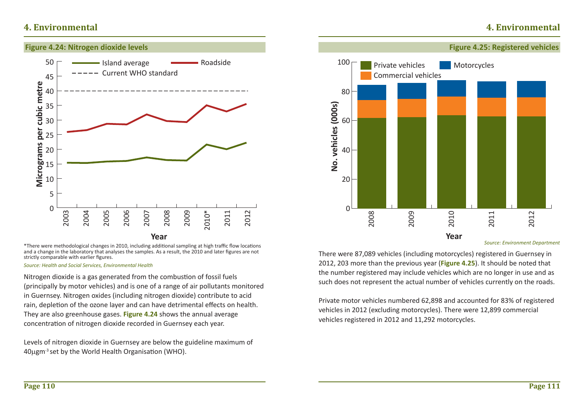

\*There were methodological changes in 2010, including additional sampling at high traffic flow locations and a change in the laboratory that analyses the samples. As a result, the 2010 and later figures are not strictly comparable with earlier figures.

*Source: Health and Social Services, Environmental Health* 

Nitrogen dioxide is a gas generated from the combustion of fossil fuels (principally by motor vehicles) and is one of a range of air pollutants monitored in Guernsey. Nitrogen oxides (including nitrogen dioxide) contribute to acid rain, depletion of the ozone layer and can have detrimental effects on health. They are also greenhouse gases. **Figure 4.24** shows the annual average concentration of nitrogen dioxide recorded in Guernsey each year.

Levels of nitrogen dioxide in Guernsey are below the guideline maximum of 40µgm<sup>-3</sup> set by the World Health Organisation (WHO).



*Source: Environment Department*

There were 87,089 vehicles (including motorcycles) registered in Guernsey in 2012, 203 more than the previous year (**Figure 4.25**). It should be noted that the number registered may include vehicles which are no longer in use and as such does not represent the actual number of vehicles currently on the roads.

**Year**

Private motor vehicles numbered 62,898 and accounted for 83% of registered vehicles in 2012 (excluding motorcycles). There were 12,899 commercial vehicles registered in 2012 and 11,292 motorcycles.

### **4. Environmental**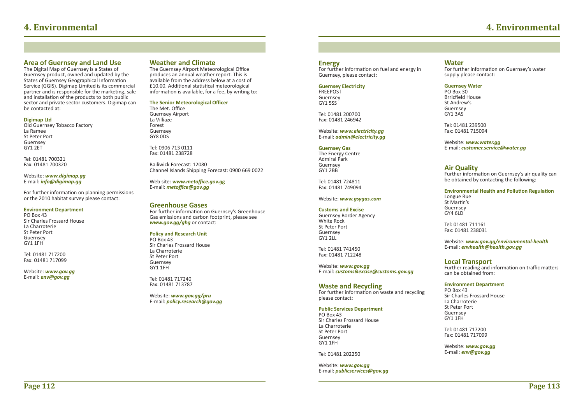#### **Area of Guernsey and Land Use**

The Digital Map of Guernsey is a States of Guernsey product, owned and updated by the States of Guernsey Geographical Information Service (GGIS). Digimap Limited is its commercial partner and is responsible for the marketing, sale and installation of the products to both public sector and private sector customers. Digimap can be contacted at:

#### **Digimap Ltd**

Old Guernsey Tobacco Factory La Ramee St Peter PortGuernsey GY1 2ET

Tel: 01481 700321 Fax: 01481 700320

#### Website: *www.digimap.gg* E-mail: *info@digimap.gg*

For further information on planning permissions or the 2010 habitat survey please contact:

#### **Environment Department**

PO Box 43 Sir Charles Frossard HouseLa Charroterie St Peter PortGuernsey GY1 1FH

Tel: 01481 717200Fax: 01481 717099

Website: *www.gov.gg* E-mail: *env@gov.gg*

#### **Weather and Climate**

The Guernsey Airport Meteorological Office produces an annual weather report. This is available from the address below at a cost of £10.00. Additional statistical meteorological information is available, for a fee, by writing to:

**The Senior Meteorological Officer** 

The Met. Office Guernsey Airport La VilliazeForest Guernsey GY8 0DS

Tel: 0906 713 0111Fax: 01481 238728

Bailiwick Forecast: 12080Channel Islands Shipping Forecast: 0900 669 0022

Web site: **www.metoffice.gov.gg** E-mail: *metoffi ce@gov.gg* 

#### **Greenhouse Gases**

**EXAMPLE ON STREET CONCRETE:** For further information on Guernsey's Greenhouse Gas emissions and carbon footprint, please see *www.gov.gg/ghg* or contact:

#### **Policy and Research Unit**

PO Box 43Sir Charles Frossard HouseLa Charroterie St Peter Port Guernsey GY1 1FH

Tel: 01481 717240Fax: 01481 713787

Website: *www.gov.gg/pru*  E-mail: *policy.research@gov.gg*

#### **Energy**

For further information on fuel and energy in Guernsey, please contact:

**Guernsey Electricity** FREEPOSTGuernsey GY1 5SS

Tel: 01481 200700 Fax: 01481 246942

Website: *www.electricity.gg* E-mail: *admin@electricity.gg*

#### **Guernsey Gas**

The Energy Centre Admiral ParkGuernsey GY1 2BB

Tel: 01481 724811 Fax: 01481 749094

#### Website: *www.gsygas.com*

#### **Customs and Excise**

Guernsey Border Agency White RockSt Peter Port Guernsey GY1 2LL

Tel: 01481 741450Fax: 01481 712248

Website: *www.gov.gg* E-mail: *customs&excise@customs.gov.gg*

#### **Waste and Recycling**

For further information on waste and recycling please contact:

#### **Public Services Department**

PO Box 43 Sir Charles Frossard House La Charroterie St Peter PortGuernsey GY1 1FH

Tel: 01481 202250

Website: *www.gov.gg* E-mail: *publicservices@gov.gg*

#### **Water**

For further information on Guernsey's water supply please contact:

#### **Guernsey Water**

PO Box 30Brricfield House St Andrew'sGuernsey GY1 3AS

Tel: 01481 239500Fax: 01481 715094

Website: *www.water.gg* E-mail: *customer.service@water.gg* 

#### **Air Quality**

Further information on Guernsey's air quality can be obtained by contacting the following:

#### **Environmental Health and Pollution Regulation** Longue Rue St Martin's

Guernsey GY4 6LD

Tel: 01481 711161 Fax: 01481 238031

Website: *www.gov.gg/environmental-health* E-mail: *envhealth@health.gov.gg*

#### **Local Transport**

Further reading and information on traffic matters can be obtained from:

#### **Environment Department**

PO Box 43 Sir Charles Frossard House La CharroterieSt Peter PortGuernsey GY1 1FH

Tel: 01481 717200Fax: 01481 717099

Website: *www.gov.gg* E-mail: *env@gov.gg*